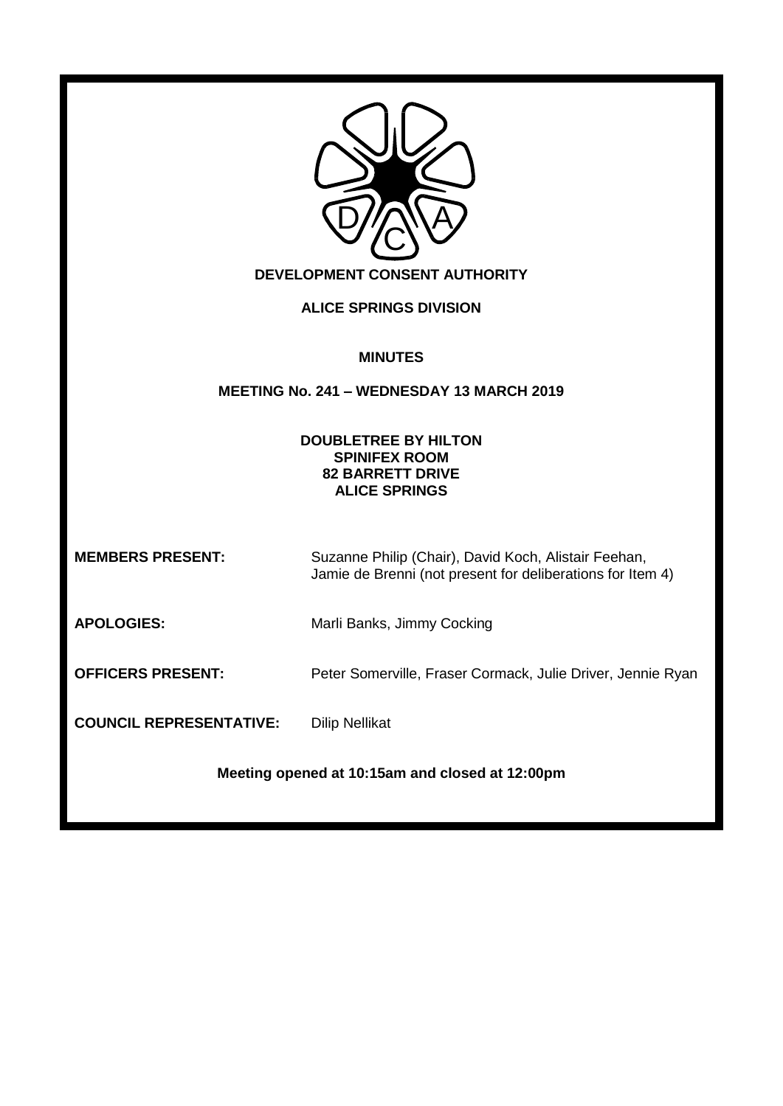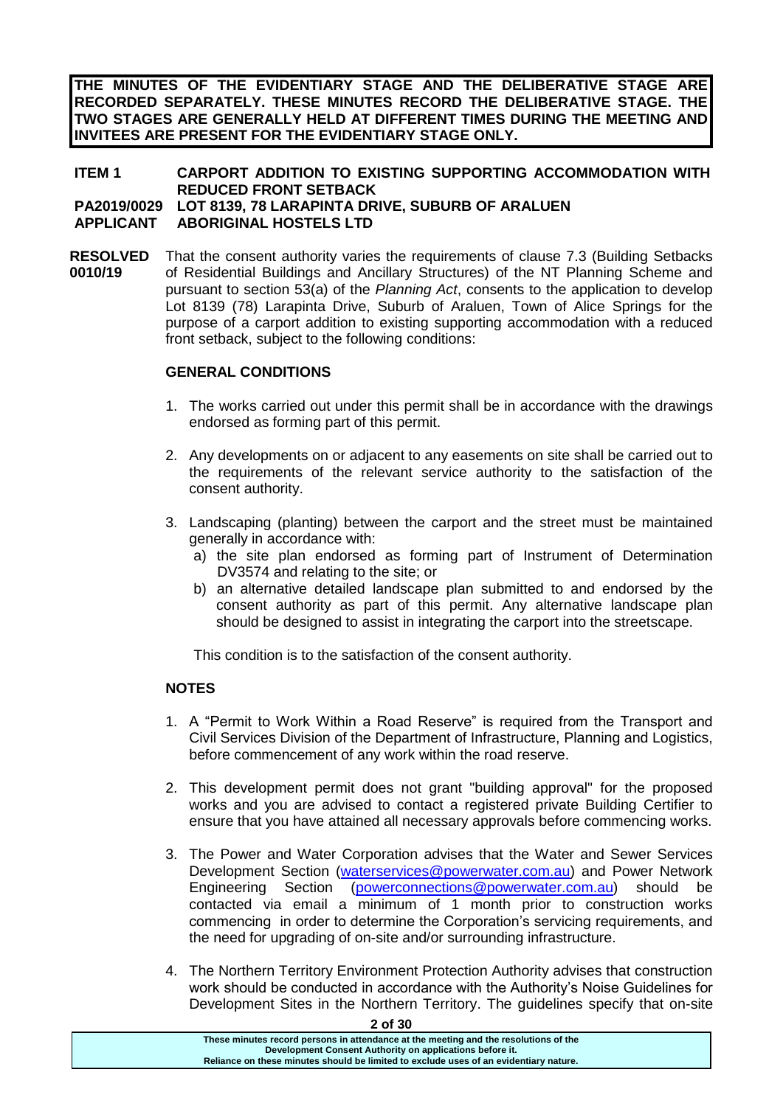**THE MINUTES OF THE EVIDENTIARY STAGE AND THE DELIBERATIVE STAGE ARE RECORDED SEPARATELY. THESE MINUTES RECORD THE DELIBERATIVE STAGE. THE TWO STAGES ARE GENERALLY HELD AT DIFFERENT TIMES DURING THE MEETING AND INVITEES ARE PRESENT FOR THE EVIDENTIARY STAGE ONLY.**

#### **ITEM 1 CARPORT ADDITION TO EXISTING SUPPORTING ACCOMMODATION WITH REDUCED FRONT SETBACK PA2019/0029 LOT 8139, 78 LARAPINTA DRIVE, SUBURB OF ARALUEN APPLICANT ABORIGINAL HOSTELS LTD**

**RESOLVED 0010/19** That the consent authority varies the requirements of clause 7.3 (Building Setbacks of Residential Buildings and Ancillary Structures) of the NT Planning Scheme and pursuant to section 53(a) of the *Planning Act*, consents to the application to develop Lot 8139 (78) Larapinta Drive, Suburb of Araluen, Town of Alice Springs for the purpose of a carport addition to existing supporting accommodation with a reduced front setback, subject to the following conditions:

## **GENERAL CONDITIONS**

- 1. The works carried out under this permit shall be in accordance with the drawings endorsed as forming part of this permit.
- 2. Any developments on or adjacent to any easements on site shall be carried out to the requirements of the relevant service authority to the satisfaction of the consent authority.
- 3. Landscaping (planting) between the carport and the street must be maintained generally in accordance with:
	- a) the site plan endorsed as forming part of Instrument of Determination DV3574 and relating to the site; or
	- b) an alternative detailed landscape plan submitted to and endorsed by the consent authority as part of this permit. Any alternative landscape plan should be designed to assist in integrating the carport into the streetscape.

This condition is to the satisfaction of the consent authority.

## **NOTES**

- 1. A "Permit to Work Within a Road Reserve" is required from the Transport and Civil Services Division of the Department of Infrastructure, Planning and Logistics, before commencement of any work within the road reserve.
- 2. This development permit does not grant "building approval" for the proposed works and you are advised to contact a registered private Building Certifier to ensure that you have attained all necessary approvals before commencing works.
- 3. The Power and Water Corporation advises that the Water and Sewer Services Development Section [\(waterservices@powerwater.com.au\)](mailto:waterservices@powerwater.com.au) and Power Network Engineering Section [\(powerconnections@powerwater.com.au\)](mailto:powerconnections@powerwater.com.au) should be contacted via email a minimum of 1 month prior to construction works commencing in order to determine the Corporation's servicing requirements, and the need for upgrading of on-site and/or surrounding infrastructure.
- 4. The Northern Territory Environment Protection Authority advises that construction work should be conducted in accordance with the Authority's Noise Guidelines for Development Sites in the Northern Territory. The guidelines specify that on-site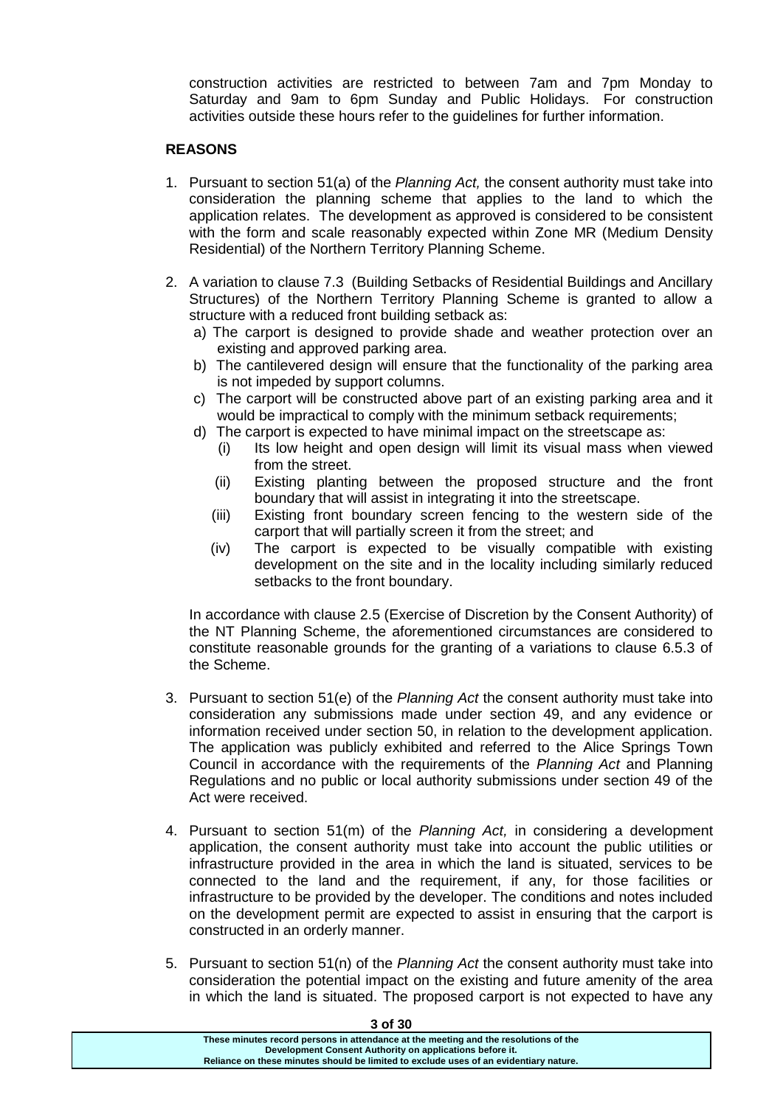construction activities are restricted to between 7am and 7pm Monday to Saturday and 9am to 6pm Sunday and Public Holidays. For construction activities outside these hours refer to the guidelines for further information.

#### **REASONS**

- 1. Pursuant to section 51(a) of the *Planning Act,* the consent authority must take into consideration the planning scheme that applies to the land to which the application relates. The development as approved is considered to be consistent with the form and scale reasonably expected within Zone MR (Medium Density Residential) of the Northern Territory Planning Scheme.
- 2. A variation to clause 7.3 (Building Setbacks of Residential Buildings and Ancillary Structures) of the Northern Territory Planning Scheme is granted to allow a structure with a reduced front building setback as:
	- a) The carport is designed to provide shade and weather protection over an existing and approved parking area.
	- b) The cantilevered design will ensure that the functionality of the parking area is not impeded by support columns.
	- c) The carport will be constructed above part of an existing parking area and it would be impractical to comply with the minimum setback requirements;
	- d) The carport is expected to have minimal impact on the streetscape as:
		- (i) Its low height and open design will limit its visual mass when viewed from the street.
		- (ii) Existing planting between the proposed structure and the front boundary that will assist in integrating it into the streetscape.
		- (iii) Existing front boundary screen fencing to the western side of the carport that will partially screen it from the street; and
		- (iv) The carport is expected to be visually compatible with existing development on the site and in the locality including similarly reduced setbacks to the front boundary.

In accordance with clause 2.5 (Exercise of Discretion by the Consent Authority) of the NT Planning Scheme, the aforementioned circumstances are considered to constitute reasonable grounds for the granting of a variations to clause 6.5.3 of the Scheme.

- 3. Pursuant to section 51(e) of the *Planning Act* the consent authority must take into consideration any submissions made under section 49, and any evidence or information received under section 50, in relation to the development application. The application was publicly exhibited and referred to the Alice Springs Town Council in accordance with the requirements of the *Planning Act* and Planning Regulations and no public or local authority submissions under section 49 of the Act were received.
- 4. Pursuant to section 51(m) of the *Planning Act,* in considering a development application, the consent authority must take into account the public utilities or infrastructure provided in the area in which the land is situated, services to be connected to the land and the requirement, if any, for those facilities or infrastructure to be provided by the developer. The conditions and notes included on the development permit are expected to assist in ensuring that the carport is constructed in an orderly manner.
- 5. Pursuant to section 51(n) of the *Planning Act* the consent authority must take into consideration the potential impact on the existing and future amenity of the area in which the land is situated. The proposed carport is not expected to have any

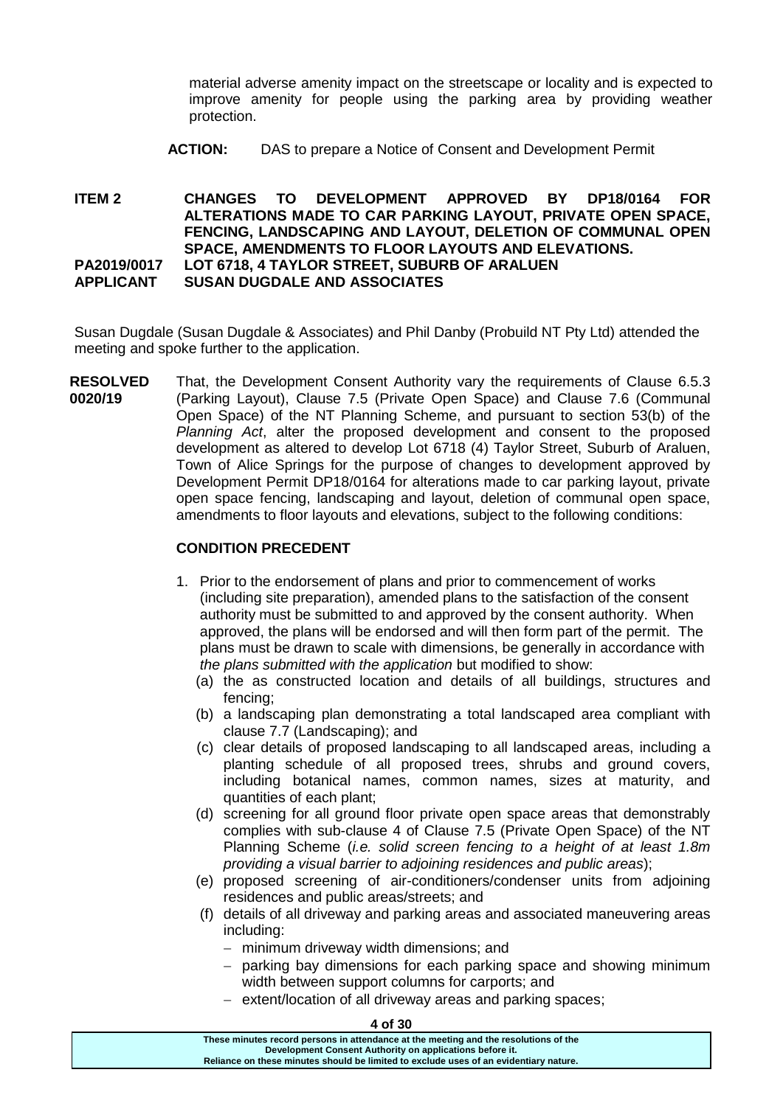material adverse amenity impact on the streetscape or locality and is expected to improve amenity for people using the parking area by providing weather protection.

**ACTION:** DAS to prepare a Notice of Consent and Development Permit

**ITEM 2 CHANGES TO DEVELOPMENT APPROVED BY DP18/0164 FOR ALTERATIONS MADE TO CAR PARKING LAYOUT, PRIVATE OPEN SPACE, FENCING, LANDSCAPING AND LAYOUT, DELETION OF COMMUNAL OPEN SPACE, AMENDMENTS TO FLOOR LAYOUTS AND ELEVATIONS. PA2019/0017 LOT 6718, 4 TAYLOR STREET, SUBURB OF ARALUEN APPLICANT SUSAN DUGDALE AND ASSOCIATES**

Susan Dugdale (Susan Dugdale & Associates) and Phil Danby (Probuild NT Pty Ltd) attended the meeting and spoke further to the application.

**RESOLVED 0020/19** That, the Development Consent Authority vary the requirements of Clause 6.5.3 (Parking Layout), Clause 7.5 (Private Open Space) and Clause 7.6 (Communal Open Space) of the NT Planning Scheme, and pursuant to section 53(b) of the *Planning Act*, alter the proposed development and consent to the proposed development as altered to develop Lot 6718 (4) Taylor Street, Suburb of Araluen, Town of Alice Springs for the purpose of changes to development approved by Development Permit DP18/0164 for alterations made to car parking layout, private open space fencing, landscaping and layout, deletion of communal open space, amendments to floor layouts and elevations, subject to the following conditions:

## **CONDITION PRECEDENT**

- 1. Prior to the endorsement of plans and prior to commencement of works (including site preparation), amended plans to the satisfaction of the consent authority must be submitted to and approved by the consent authority. When approved, the plans will be endorsed and will then form part of the permit. The plans must be drawn to scale with dimensions, be generally in accordance with *the plans submitted with the application* but modified to show:
	- (a) the as constructed location and details of all buildings, structures and fencing;
	- (b) a landscaping plan demonstrating a total landscaped area compliant with clause 7.7 (Landscaping); and
	- (c) clear details of proposed landscaping to all landscaped areas, including a planting schedule of all proposed trees, shrubs and ground covers, including botanical names, common names, sizes at maturity, and quantities of each plant;
	- (d) screening for all ground floor private open space areas that demonstrably complies with sub-clause 4 of Clause 7.5 (Private Open Space) of the NT Planning Scheme (*i.e. solid screen fencing to a height of at least 1.8m providing a visual barrier to adjoining residences and public areas*);
	- (e) proposed screening of air-conditioners/condenser units from adjoining residences and public areas/streets; and
	- (f) details of all driveway and parking areas and associated maneuvering areas including:
		- minimum driveway width dimensions; and
		- $-$  parking bay dimensions for each parking space and showing minimum width between support columns for carports; and
		- extent/location of all driveway areas and parking spaces;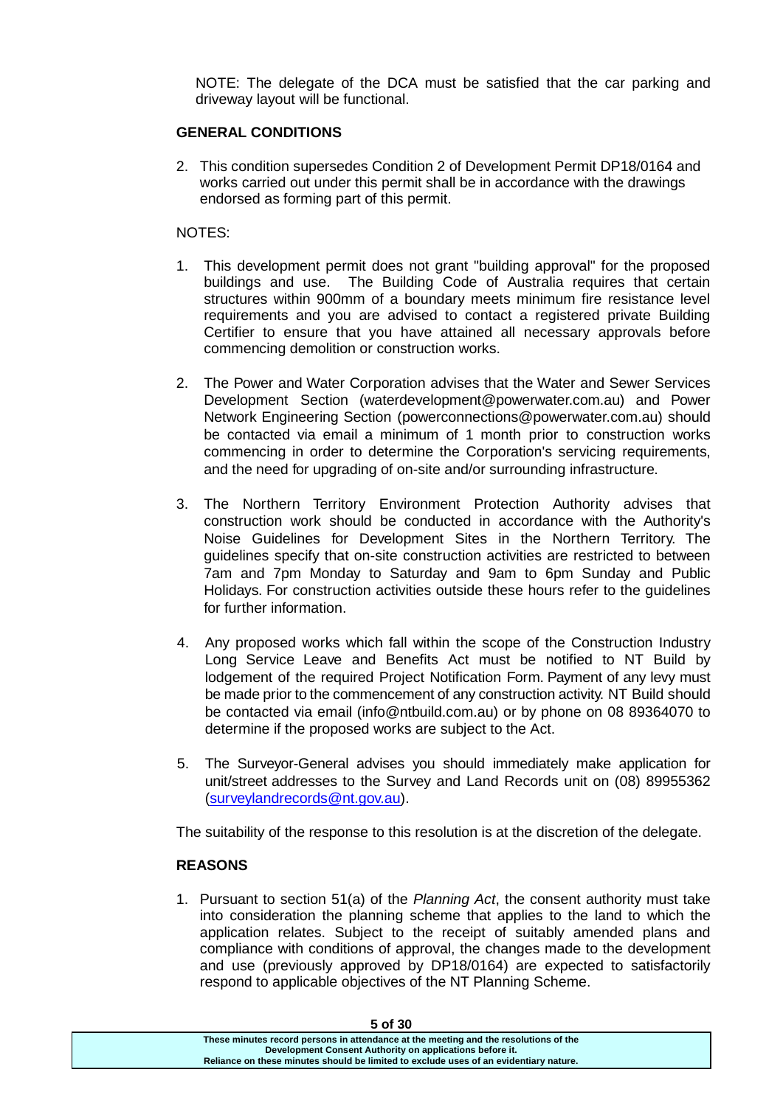NOTE: The delegate of the DCA must be satisfied that the car parking and driveway layout will be functional.

## **GENERAL CONDITIONS**

2. This condition supersedes Condition 2 of Development Permit DP18/0164 and works carried out under this permit shall be in accordance with the drawings endorsed as forming part of this permit.

## NOTES:

- 1. This development permit does not grant "building approval" for the proposed buildings and use. The Building Code of Australia requires that certain structures within 900mm of a boundary meets minimum fire resistance level requirements and you are advised to contact a registered private Building Certifier to ensure that you have attained all necessary approvals before commencing demolition or construction works.
- 2. The Power and Water Corporation advises that the Water and Sewer Services Development Section (waterdevelopment@powerwater.com.au) and Power Network Engineering Section (powerconnections@powerwater.com.au) should be contacted via email a minimum of 1 month prior to construction works commencing in order to determine the Corporation's servicing requirements, and the need for upgrading of on-site and/or surrounding infrastructure.
- 3. The Northern Territory Environment Protection Authority advises that construction work should be conducted in accordance with the Authority's Noise Guidelines for Development Sites in the Northern Territory. The guidelines specify that on-site construction activities are restricted to between 7am and 7pm Monday to Saturday and 9am to 6pm Sunday and Public Holidays. For construction activities outside these hours refer to the guidelines for further information.
- 4. Any proposed works which fall within the scope of the Construction Industry Long Service Leave and Benefits Act must be notified to NT Build by lodgement of the required Project Notification Form. Payment of any levy must be made prior to the commencement of any construction activity. NT Build should be contacted via email (info@ntbuild.com.au) or by phone on 08 89364070 to determine if the proposed works are subject to the Act.
- 5. The Surveyor-General advises you should immediately make application for unit/street addresses to the Survey and Land Records unit on (08) 89955362 [\(surveylandrecords@nt.gov.au\)](mailto:surveylandrecords@nt.gov.au).

The suitability of the response to this resolution is at the discretion of the delegate.

## **REASONS**

1. Pursuant to section 51(a) of the *Planning Act*, the consent authority must take into consideration the planning scheme that applies to the land to which the application relates. Subject to the receipt of suitably amended plans and compliance with conditions of approval, the changes made to the development and use (previously approved by DP18/0164) are expected to satisfactorily respond to applicable objectives of the NT Planning Scheme.

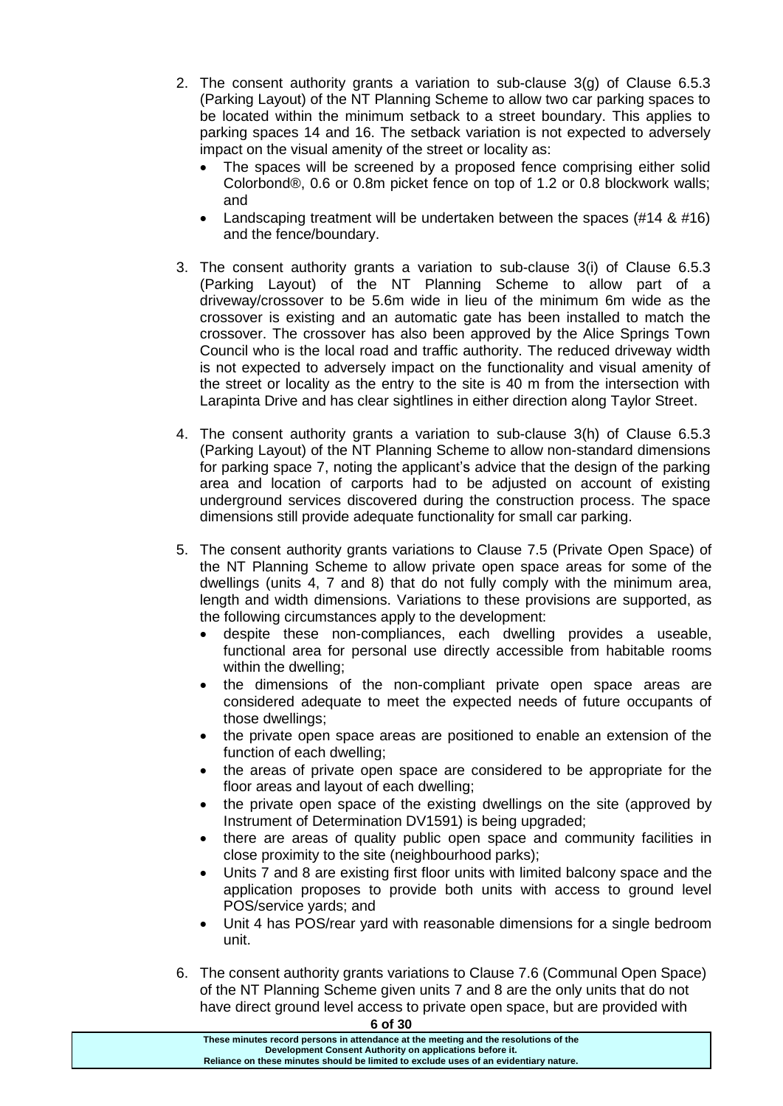- 2. The consent authority grants a variation to sub-clause  $3(q)$  of Clause 6.5.3 (Parking Layout) of the NT Planning Scheme to allow two car parking spaces to be located within the minimum setback to a street boundary. This applies to parking spaces 14 and 16. The setback variation is not expected to adversely impact on the visual amenity of the street or locality as:
	- The spaces will be screened by a proposed fence comprising either solid Colorbond®, 0.6 or 0.8m picket fence on top of 1.2 or 0.8 blockwork walls; and
	- Landscaping treatment will be undertaken between the spaces (#14 & #16) and the fence/boundary.
- 3. The consent authority grants a variation to sub-clause 3(i) of Clause 6.5.3 (Parking Layout) of the NT Planning Scheme to allow part of a driveway/crossover to be 5.6m wide in lieu of the minimum 6m wide as the crossover is existing and an automatic gate has been installed to match the crossover. The crossover has also been approved by the Alice Springs Town Council who is the local road and traffic authority. The reduced driveway width is not expected to adversely impact on the functionality and visual amenity of the street or locality as the entry to the site is 40 m from the intersection with Larapinta Drive and has clear sightlines in either direction along Taylor Street.
- 4. The consent authority grants a variation to sub-clause 3(h) of Clause 6.5.3 (Parking Layout) of the NT Planning Scheme to allow non-standard dimensions for parking space 7, noting the applicant's advice that the design of the parking area and location of carports had to be adjusted on account of existing underground services discovered during the construction process. The space dimensions still provide adequate functionality for small car parking.
- 5. The consent authority grants variations to Clause 7.5 (Private Open Space) of the NT Planning Scheme to allow private open space areas for some of the dwellings (units 4, 7 and 8) that do not fully comply with the minimum area, length and width dimensions. Variations to these provisions are supported, as the following circumstances apply to the development:
	- despite these non-compliances, each dwelling provides a useable, functional area for personal use directly accessible from habitable rooms within the dwelling;
	- the dimensions of the non-compliant private open space areas are considered adequate to meet the expected needs of future occupants of those dwellings;
	- the private open space areas are positioned to enable an extension of the function of each dwelling;
	- the areas of private open space are considered to be appropriate for the floor areas and layout of each dwelling;
	- the private open space of the existing dwellings on the site (approved by Instrument of Determination DV1591) is being upgraded;
	- there are areas of quality public open space and community facilities in close proximity to the site (neighbourhood parks);
	- Units 7 and 8 are existing first floor units with limited balcony space and the application proposes to provide both units with access to ground level POS/service yards; and
	- Unit 4 has POS/rear yard with reasonable dimensions for a single bedroom unit.
- 6. The consent authority grants variations to Clause 7.6 (Communal Open Space) of the NT Planning Scheme given units 7 and 8 are the only units that do not have direct ground level access to private open space, but are provided with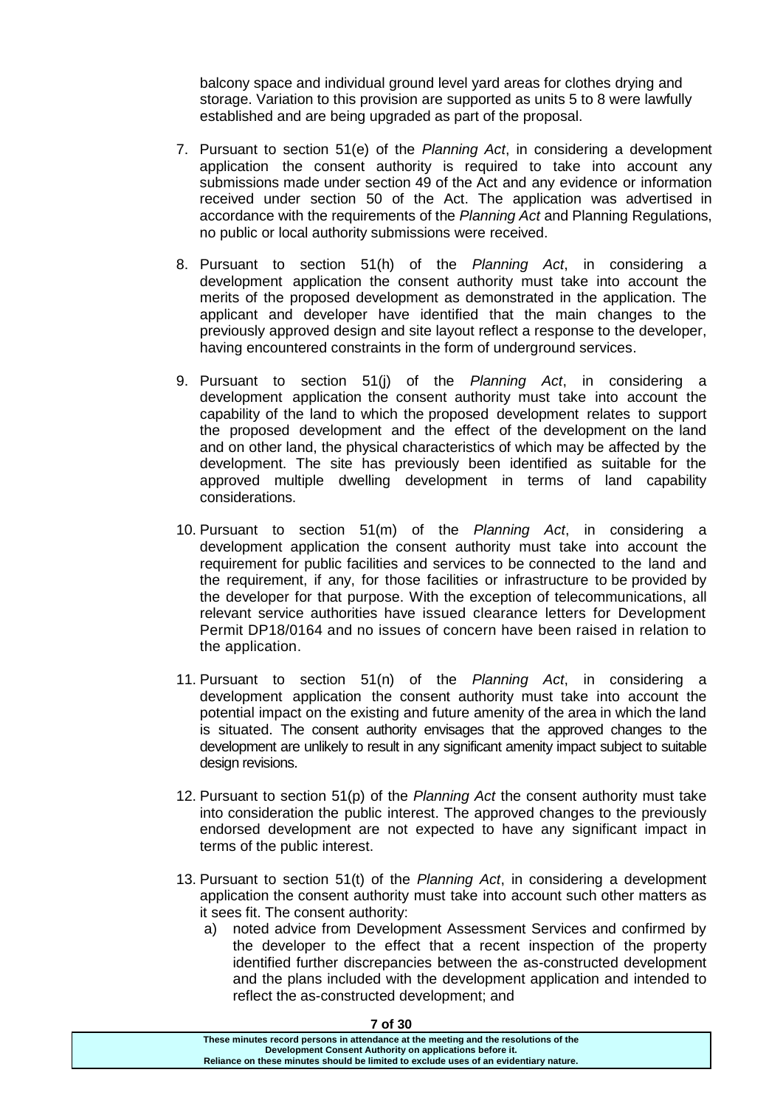balcony space and individual ground level yard areas for clothes drying and storage. Variation to this provision are supported as units 5 to 8 were lawfully established and are being upgraded as part of the proposal.

- 7. Pursuant to section 51(e) of the *Planning Act*, in considering a development application the consent authority is required to take into account any submissions made under section 49 of the Act and any evidence or information received under section 50 of the Act. The application was advertised in accordance with the requirements of the *Planning Act* and Planning Regulations, no public or local authority submissions were received.
- 8. Pursuant to section 51(h) of the *Planning Act*, in considering a development application the consent authority must take into account the merits of the proposed development as demonstrated in the application. The applicant and developer have identified that the main changes to the previously approved design and site layout reflect a response to the developer, having encountered constraints in the form of underground services.
- 9. Pursuant to section 51(j) of the *Planning Act*, in considering a development application the consent authority must take into account the capability of the land to which the proposed development relates to support the proposed development and the effect of the development on the land and on other land, the physical characteristics of which may be affected by the development. The site has previously been identified as suitable for the approved multiple dwelling development in terms of land capability considerations.
- 10. Pursuant to section 51(m) of the *Planning Act*, in considering a development application the consent authority must take into account the requirement for public facilities and services to be connected to the land and the requirement, if any, for those facilities or infrastructure to be provided by the developer for that purpose. With the exception of telecommunications, all relevant service authorities have issued clearance letters for Development Permit DP18/0164 and no issues of concern have been raised in relation to the application.
- 11. Pursuant to section 51(n) of the *Planning Act*, in considering a development application the consent authority must take into account the potential impact on the existing and future amenity of the area in which the land is situated. The consent authority envisages that the approved changes to the development are unlikely to result in any significant amenity impact subject to suitable design revisions.
- 12. Pursuant to section 51(p) of the *Planning Act* the consent authority must take into consideration the public interest. The approved changes to the previously endorsed development are not expected to have any significant impact in terms of the public interest.
- 13. Pursuant to section 51(t) of the *Planning Act*, in considering a development application the consent authority must take into account such other matters as it sees fit. The consent authority:
	- a) noted advice from Development Assessment Services and confirmed by the developer to the effect that a recent inspection of the property identified further discrepancies between the as-constructed development and the plans included with the development application and intended to reflect the as-constructed development; and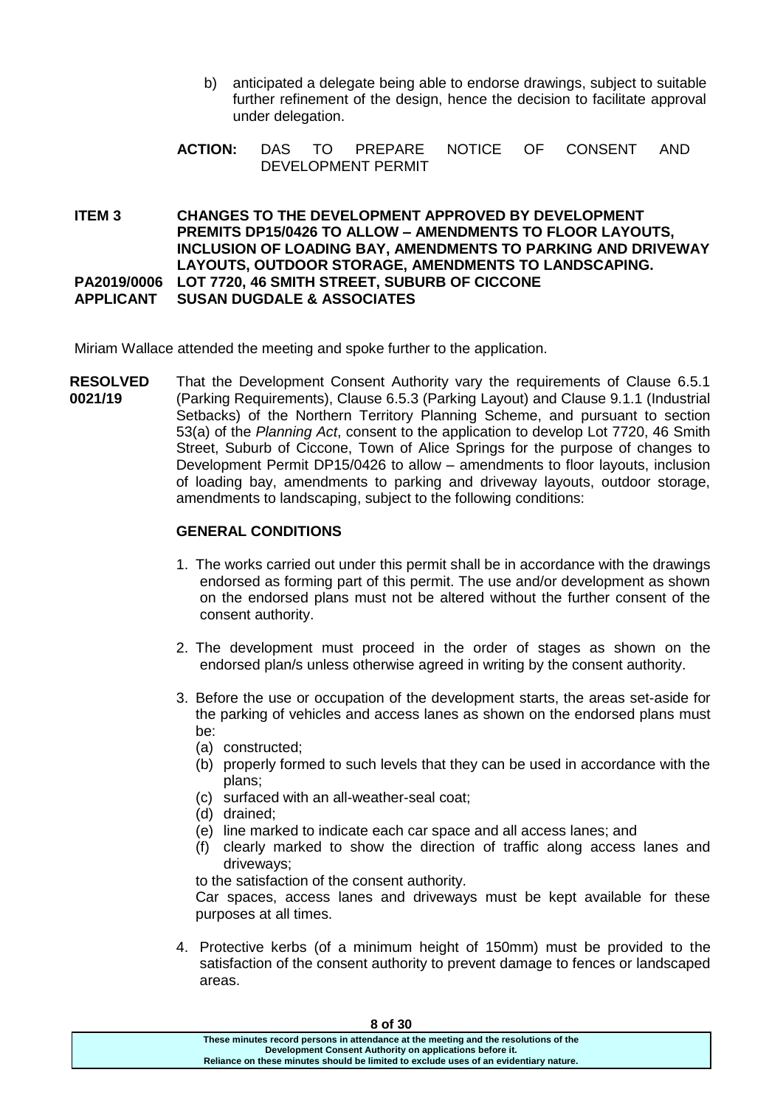- b) anticipated a delegate being able to endorse drawings, subject to suitable further refinement of the design, hence the decision to facilitate approval under delegation.
- **ACTION:** DAS TO PREPARE NOTICE OF CONSENT AND DEVELOPMENT PERMIT

**ITEM 3 CHANGES TO THE DEVELOPMENT APPROVED BY DEVELOPMENT PREMITS DP15/0426 TO ALLOW – AMENDMENTS TO FLOOR LAYOUTS, INCLUSION OF LOADING BAY, AMENDMENTS TO PARKING AND DRIVEWAY LAYOUTS, OUTDOOR STORAGE, AMENDMENTS TO LANDSCAPING. PA2019/0006 LOT 7720, 46 SMITH STREET, SUBURB OF CICCONE APPLICANT SUSAN DUGDALE & ASSOCIATES**

Miriam Wallace attended the meeting and spoke further to the application.

**RESOLVED 0021/19** That the Development Consent Authority vary the requirements of Clause 6.5.1 (Parking Requirements), Clause 6.5.3 (Parking Layout) and Clause 9.1.1 (Industrial Setbacks) of the Northern Territory Planning Scheme, and pursuant to section 53(a) of the *Planning Act*, consent to the application to develop Lot 7720, 46 Smith Street, Suburb of Ciccone, Town of Alice Springs for the purpose of changes to Development Permit DP15/0426 to allow – amendments to floor layouts, inclusion of loading bay, amendments to parking and driveway layouts, outdoor storage, amendments to landscaping, subject to the following conditions:

## **GENERAL CONDITIONS**

- 1. The works carried out under this permit shall be in accordance with the drawings endorsed as forming part of this permit. The use and/or development as shown on the endorsed plans must not be altered without the further consent of the consent authority.
- 2. The development must proceed in the order of stages as shown on the endorsed plan/s unless otherwise agreed in writing by the consent authority.
- 3. Before the use or occupation of the development starts, the areas set-aside for the parking of vehicles and access lanes as shown on the endorsed plans must be:
	- (a) constructed;
	- (b) properly formed to such levels that they can be used in accordance with the plans;
	- (c) surfaced with an all-weather-seal coat;
	- (d) drained;
	- (e) line marked to indicate each car space and all access lanes; and
	- (f) clearly marked to show the direction of traffic along access lanes and driveways;

to the satisfaction of the consent authority.

Car spaces, access lanes and driveways must be kept available for these purposes at all times.

4. Protective kerbs (of a minimum height of 150mm) must be provided to the satisfaction of the consent authority to prevent damage to fences or landscaped areas.

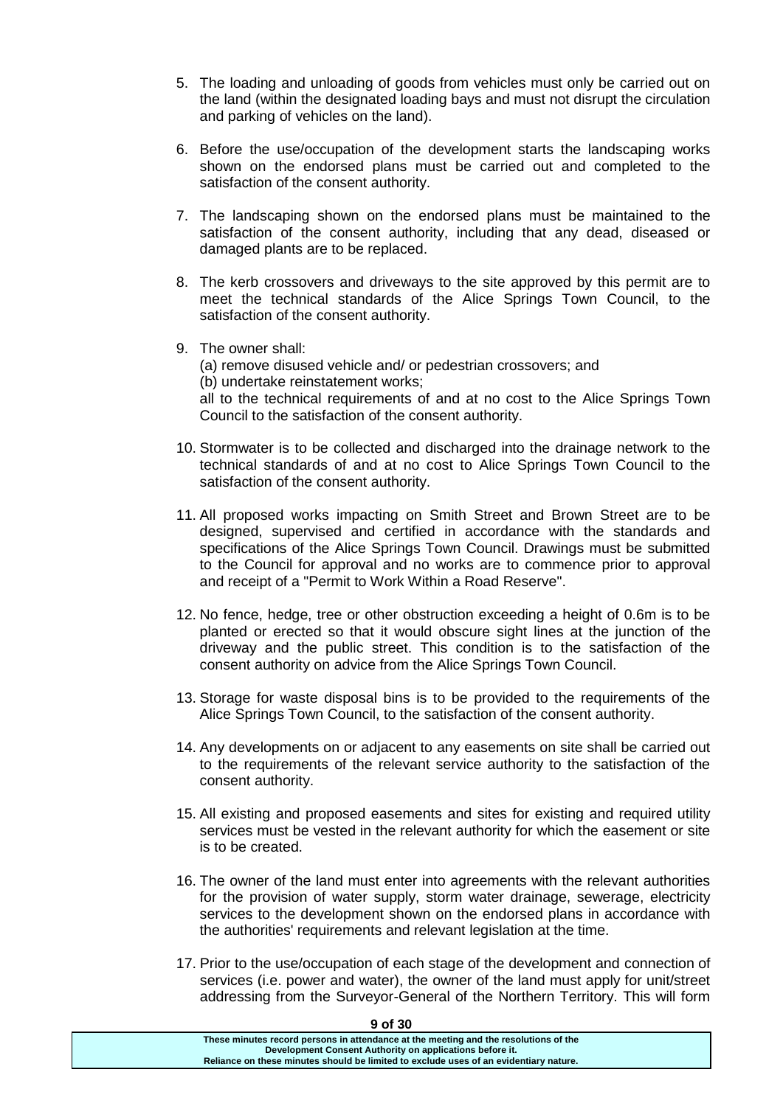- 5. The loading and unloading of goods from vehicles must only be carried out on the land (within the designated loading bays and must not disrupt the circulation and parking of vehicles on the land).
- 6. Before the use/occupation of the development starts the landscaping works shown on the endorsed plans must be carried out and completed to the satisfaction of the consent authority.
- 7. The landscaping shown on the endorsed plans must be maintained to the satisfaction of the consent authority, including that any dead, diseased or damaged plants are to be replaced.
- 8. The kerb crossovers and driveways to the site approved by this permit are to meet the technical standards of the Alice Springs Town Council, to the satisfaction of the consent authority.
- 9. The owner shall:

(a) remove disused vehicle and/ or pedestrian crossovers; and

(b) undertake reinstatement works;

all to the technical requirements of and at no cost to the Alice Springs Town Council to the satisfaction of the consent authority.

- 10. Stormwater is to be collected and discharged into the drainage network to the technical standards of and at no cost to Alice Springs Town Council to the satisfaction of the consent authority.
- 11. All proposed works impacting on Smith Street and Brown Street are to be designed, supervised and certified in accordance with the standards and specifications of the Alice Springs Town Council. Drawings must be submitted to the Council for approval and no works are to commence prior to approval and receipt of a "Permit to Work Within a Road Reserve".
- 12. No fence, hedge, tree or other obstruction exceeding a height of 0.6m is to be planted or erected so that it would obscure sight lines at the junction of the driveway and the public street. This condition is to the satisfaction of the consent authority on advice from the Alice Springs Town Council.
- 13. Storage for waste disposal bins is to be provided to the requirements of the Alice Springs Town Council, to the satisfaction of the consent authority.
- 14. Any developments on or adjacent to any easements on site shall be carried out to the requirements of the relevant service authority to the satisfaction of the consent authority.
- 15. All existing and proposed easements and sites for existing and required utility services must be vested in the relevant authority for which the easement or site is to be created.
- 16. The owner of the land must enter into agreements with the relevant authorities for the provision of water supply, storm water drainage, sewerage, electricity services to the development shown on the endorsed plans in accordance with the authorities' requirements and relevant legislation at the time.
- 17. Prior to the use/occupation of each stage of the development and connection of services (i.e. power and water), the owner of the land must apply for unit/street addressing from the Surveyor-General of the Northern Territory. This will form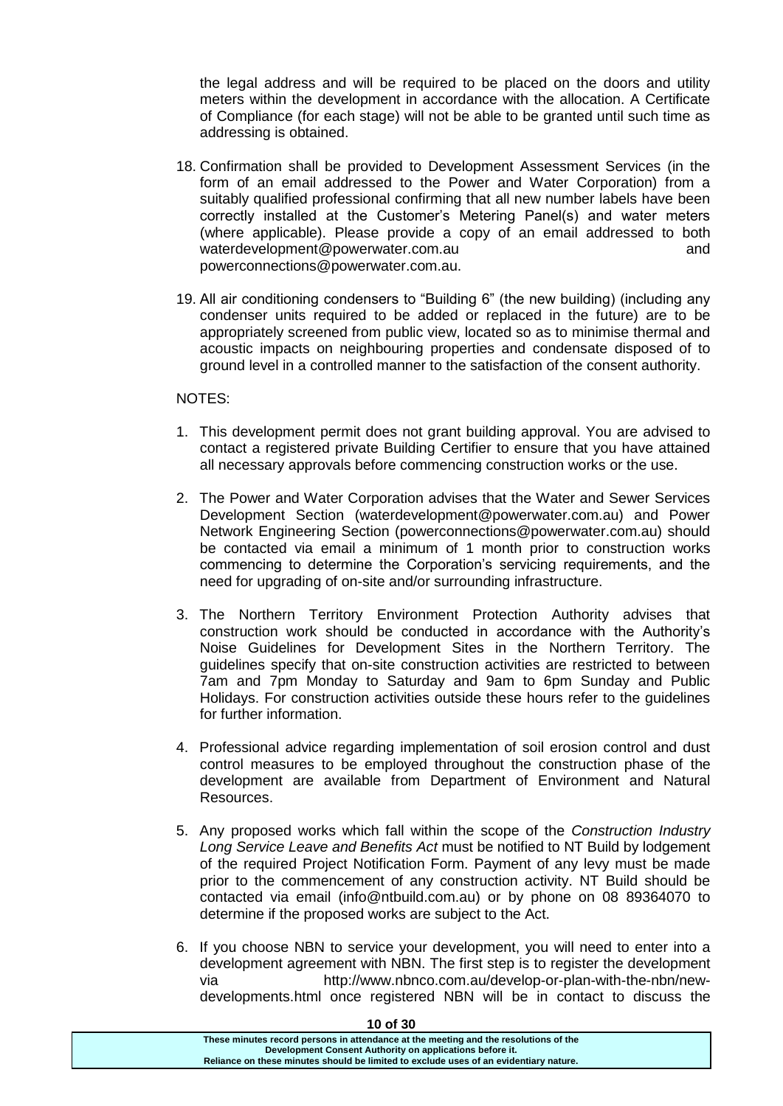the legal address and will be required to be placed on the doors and utility meters within the development in accordance with the allocation. A Certificate of Compliance (for each stage) will not be able to be granted until such time as addressing is obtained.

- 18. Confirmation shall be provided to Development Assessment Services (in the form of an email addressed to the Power and Water Corporation) from a suitably qualified professional confirming that all new number labels have been correctly installed at the Customer's Metering Panel(s) and water meters (where applicable). Please provide a copy of an email addressed to both waterdevelopment@powerwater.com.au but and and and powerconnections@powerwater.com.au.
- 19. All air conditioning condensers to "Building 6" (the new building) (including any condenser units required to be added or replaced in the future) are to be appropriately screened from public view, located so as to minimise thermal and acoustic impacts on neighbouring properties and condensate disposed of to ground level in a controlled manner to the satisfaction of the consent authority.

#### NOTES:

- 1. This development permit does not grant building approval. You are advised to contact a registered private Building Certifier to ensure that you have attained all necessary approvals before commencing construction works or the use.
- 2. The Power and Water Corporation advises that the Water and Sewer Services Development Section (waterdevelopment@powerwater.com.au) and Power Network Engineering Section (powerconnections@powerwater.com.au) should be contacted via email a minimum of 1 month prior to construction works commencing to determine the Corporation's servicing requirements, and the need for upgrading of on-site and/or surrounding infrastructure.
- 3. The Northern Territory Environment Protection Authority advises that construction work should be conducted in accordance with the Authority's Noise Guidelines for Development Sites in the Northern Territory. The guidelines specify that on-site construction activities are restricted to between 7am and 7pm Monday to Saturday and 9am to 6pm Sunday and Public Holidays. For construction activities outside these hours refer to the guidelines for further information.
- 4. Professional advice regarding implementation of soil erosion control and dust control measures to be employed throughout the construction phase of the development are available from Department of Environment and Natural Resources.
- 5. Any proposed works which fall within the scope of the *Construction Industry Long Service Leave and Benefits Act* must be notified to NT Build by lodgement of the required Project Notification Form. Payment of any levy must be made prior to the commencement of any construction activity. NT Build should be contacted via email (info@ntbuild.com.au) or by phone on 08 89364070 to determine if the proposed works are subject to the Act.
- 6. If you choose NBN to service your development, you will need to enter into a development agreement with NBN. The first step is to register the development via http://www.nbnco.com.au/develop-or-plan-with-the-nbn/newdevelopments.html once registered NBN will be in contact to discuss the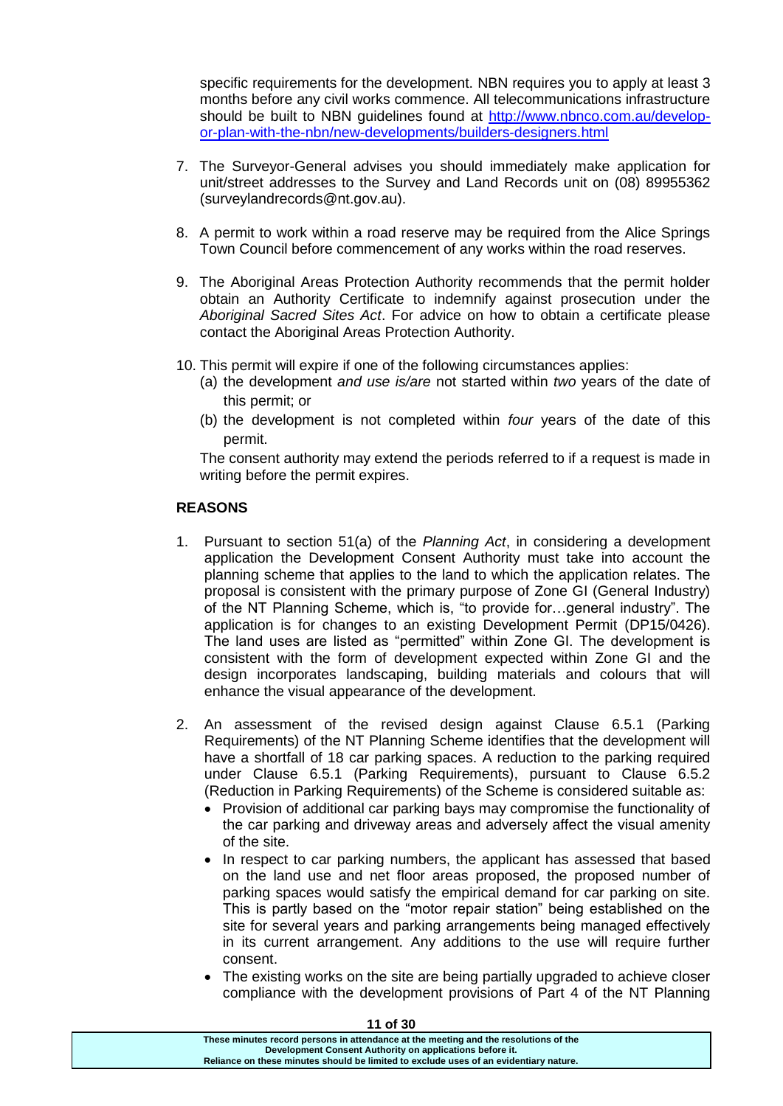specific requirements for the development. NBN requires you to apply at least 3 months before any civil works commence. All telecommunications infrastructure should be built to NBN guidelines found at [http://www.nbnco.com.au/develop](http://www.nbnco.com.au/develop-or-plan-with-the-nbn/new-developments/builders-designers.html)[or-plan-with-the-nbn/new-developments/builders-designers.html](http://www.nbnco.com.au/develop-or-plan-with-the-nbn/new-developments/builders-designers.html)

- 7. The Surveyor-General advises you should immediately make application for unit/street addresses to the Survey and Land Records unit on (08) 89955362 [\(surveylandrecords@nt.gov.au\)](mailto:surveylandrecords@nt.gov.au).
- 8. A permit to work within a road reserve may be required from the Alice Springs Town Council before commencement of any works within the road reserves.
- 9. The Aboriginal Areas Protection Authority recommends that the permit holder obtain an Authority Certificate to indemnify against prosecution under the *Aboriginal Sacred Sites Act*. For advice on how to obtain a certificate please contact the Aboriginal Areas Protection Authority.
- 10. This permit will expire if one of the following circumstances applies:
	- (a) the development *and use is/are* not started within *two* years of the date of this permit; or
	- (b) the development is not completed within *four* years of the date of this permit.

The consent authority may extend the periods referred to if a request is made in writing before the permit expires.

## **REASONS**

- 1. Pursuant to section 51(a) of the *Planning Act*, in considering a development application the Development Consent Authority must take into account the planning scheme that applies to the land to which the application relates. The proposal is consistent with the primary purpose of Zone GI (General Industry) of the NT Planning Scheme, which is, "to provide for…general industry". The application is for changes to an existing Development Permit (DP15/0426). The land uses are listed as "permitted" within Zone GI. The development is consistent with the form of development expected within Zone GI and the design incorporates landscaping, building materials and colours that will enhance the visual appearance of the development.
- 2. An assessment of the revised design against Clause 6.5.1 (Parking Requirements) of the NT Planning Scheme identifies that the development will have a shortfall of 18 car parking spaces. A reduction to the parking required under Clause 6.5.1 (Parking Requirements), pursuant to Clause 6.5.2 (Reduction in Parking Requirements) of the Scheme is considered suitable as:
	- Provision of additional car parking bays may compromise the functionality of the car parking and driveway areas and adversely affect the visual amenity of the site.
	- In respect to car parking numbers, the applicant has assessed that based on the land use and net floor areas proposed, the proposed number of parking spaces would satisfy the empirical demand for car parking on site. This is partly based on the "motor repair station" being established on the site for several years and parking arrangements being managed effectively in its current arrangement. Any additions to the use will require further consent.
	- The existing works on the site are being partially upgraded to achieve closer compliance with the development provisions of Part 4 of the NT Planning

**These minutes record persons in attendance at the meeting and the resolutions of the Development Consent Authority on applications before it. Reliance on these minutes should be limited to exclude uses of an evidentiary nature.**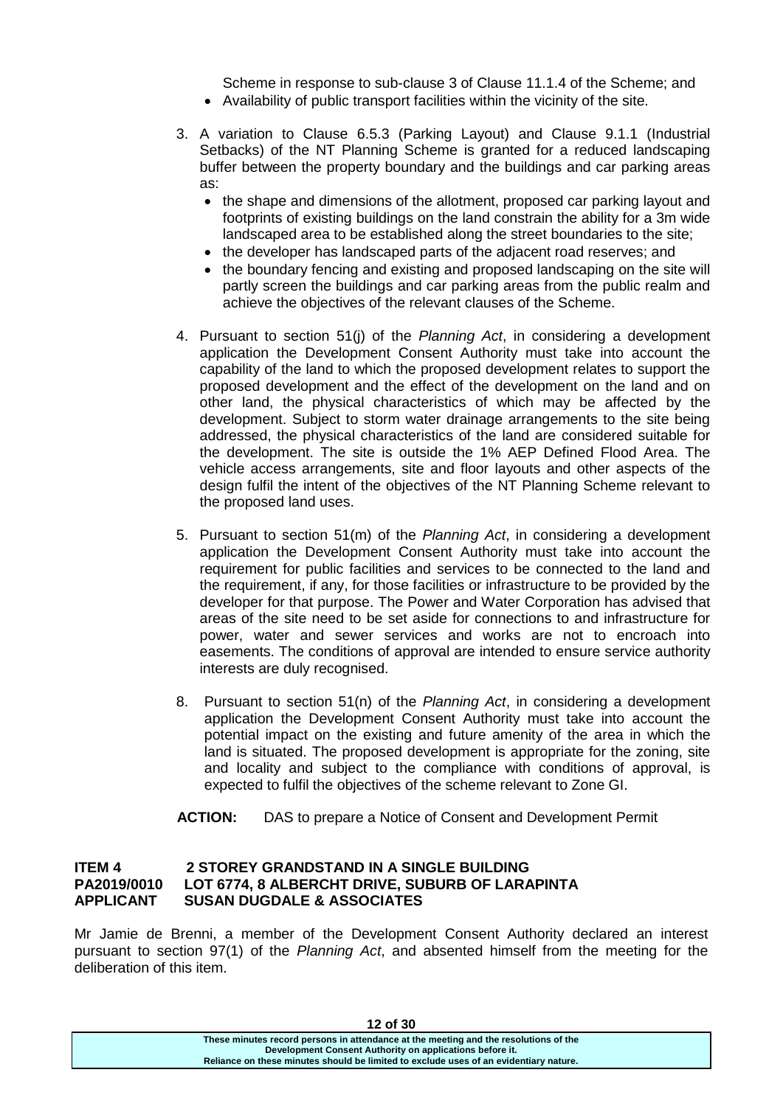Scheme in response to sub-clause 3 of Clause 11.1.4 of the Scheme; and Availability of public transport facilities within the vicinity of the site.

- 3. A variation to Clause 6.5.3 (Parking Layout) and Clause 9.1.1 (Industrial Setbacks) of the NT Planning Scheme is granted for a reduced landscaping buffer between the property boundary and the buildings and car parking areas as:
	- the shape and dimensions of the allotment, proposed car parking layout and footprints of existing buildings on the land constrain the ability for a 3m wide landscaped area to be established along the street boundaries to the site;
	- the developer has landscaped parts of the adjacent road reserves; and
	- the boundary fencing and existing and proposed landscaping on the site will partly screen the buildings and car parking areas from the public realm and achieve the objectives of the relevant clauses of the Scheme.
- 4. Pursuant to section 51(j) of the *Planning Act*, in considering a development application the Development Consent Authority must take into account the capability of the land to which the proposed development relates to support the proposed development and the effect of the development on the land and on other land, the physical characteristics of which may be affected by the development. Subject to storm water drainage arrangements to the site being addressed, the physical characteristics of the land are considered suitable for the development. The site is outside the 1% AEP Defined Flood Area. The vehicle access arrangements, site and floor layouts and other aspects of the design fulfil the intent of the objectives of the NT Planning Scheme relevant to the proposed land uses.
- 5. Pursuant to section 51(m) of the *Planning Act*, in considering a development application the Development Consent Authority must take into account the requirement for public facilities and services to be connected to the land and the requirement, if any, for those facilities or infrastructure to be provided by the developer for that purpose. The Power and Water Corporation has advised that areas of the site need to be set aside for connections to and infrastructure for power, water and sewer services and works are not to encroach into easements. The conditions of approval are intended to ensure service authority interests are duly recognised.
- 8. Pursuant to section 51(n) of the *Planning Act*, in considering a development application the Development Consent Authority must take into account the potential impact on the existing and future amenity of the area in which the land is situated. The proposed development is appropriate for the zoning, site and locality and subject to the compliance with conditions of approval, is expected to fulfil the objectives of the scheme relevant to Zone GI.

## **ACTION:** DAS to prepare a Notice of Consent and Development Permit

## **ITEM 4 2 STOREY GRANDSTAND IN A SINGLE BUILDING PA2019/0010 LOT 6774, 8 ALBERCHT DRIVE, SUBURB OF LARAPINTA APPLICANT SUSAN DUGDALE & ASSOCIATES**

Mr Jamie de Brenni, a member of the Development Consent Authority declared an interest pursuant to section 97(1) of the *Planning Act*, and absented himself from the meeting for the deliberation of this item.

| 14 UI JU                                                                              |  |
|---------------------------------------------------------------------------------------|--|
| These minutes record persons in attendance at the meeting and the resolutions of the  |  |
| Development Consent Authority on applications before it.                              |  |
| Reliance on these minutes should be limited to exclude uses of an evidentiary nature. |  |
|                                                                                       |  |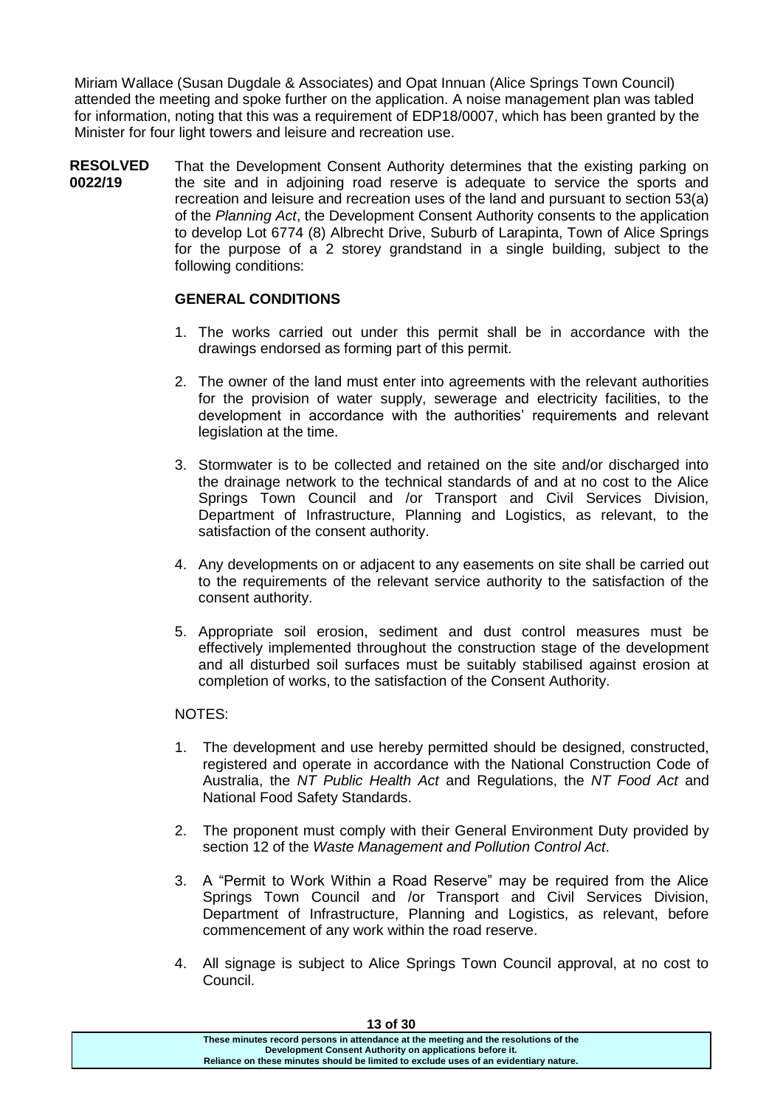Miriam Wallace (Susan Dugdale & Associates) and Opat Innuan (Alice Springs Town Council) attended the meeting and spoke further on the application. A noise management plan was tabled for information, noting that this was a requirement of EDP18/0007, which has been granted by the Minister for four light towers and leisure and recreation use.

**RESOLVED 0022/19** That the Development Consent Authority determines that the existing parking on the site and in adjoining road reserve is adequate to service the sports and recreation and leisure and recreation uses of the land and pursuant to section 53(a) of the *Planning Act*, the Development Consent Authority consents to the application to develop Lot 6774 (8) Albrecht Drive, Suburb of Larapinta, Town of Alice Springs for the purpose of a 2 storey grandstand in a single building, subject to the following conditions:

# **GENERAL CONDITIONS**

- 1. The works carried out under this permit shall be in accordance with the drawings endorsed as forming part of this permit.
- 2. The owner of the land must enter into agreements with the relevant authorities for the provision of water supply, sewerage and electricity facilities, to the development in accordance with the authorities' requirements and relevant legislation at the time.
- 3. Stormwater is to be collected and retained on the site and/or discharged into the drainage network to the technical standards of and at no cost to the Alice Springs Town Council and /or Transport and Civil Services Division, Department of Infrastructure, Planning and Logistics, as relevant, to the satisfaction of the consent authority.
- 4. Any developments on or adjacent to any easements on site shall be carried out to the requirements of the relevant service authority to the satisfaction of the consent authority.
- 5. Appropriate soil erosion, sediment and dust control measures must be effectively implemented throughout the construction stage of the development and all disturbed soil surfaces must be suitably stabilised against erosion at completion of works, to the satisfaction of the Consent Authority.

## NOTES:

- 1. The development and use hereby permitted should be designed, constructed, registered and operate in accordance with the National Construction Code of Australia, the *NT Public Health Act* and Regulations, the *NT Food Act* and National Food Safety Standards.
- 2. The proponent must comply with their General Environment Duty provided by section 12 of the *Waste Management and Pollution Control Act*.
- 3. A "Permit to Work Within a Road Reserve" may be required from the Alice Springs Town Council and /or Transport and Civil Services Division, Department of Infrastructure, Planning and Logistics, as relevant, before commencement of any work within the road reserve.
- 4. All signage is subject to Alice Springs Town Council approval, at no cost to Council.

| 13 of 30                                                                              |  |
|---------------------------------------------------------------------------------------|--|
| These minutes record persons in attendance at the meeting and the resolutions of the  |  |
| Development Consent Authority on applications before it.                              |  |
| Reliance on these minutes should be limited to exclude uses of an evidentiary nature. |  |
|                                                                                       |  |

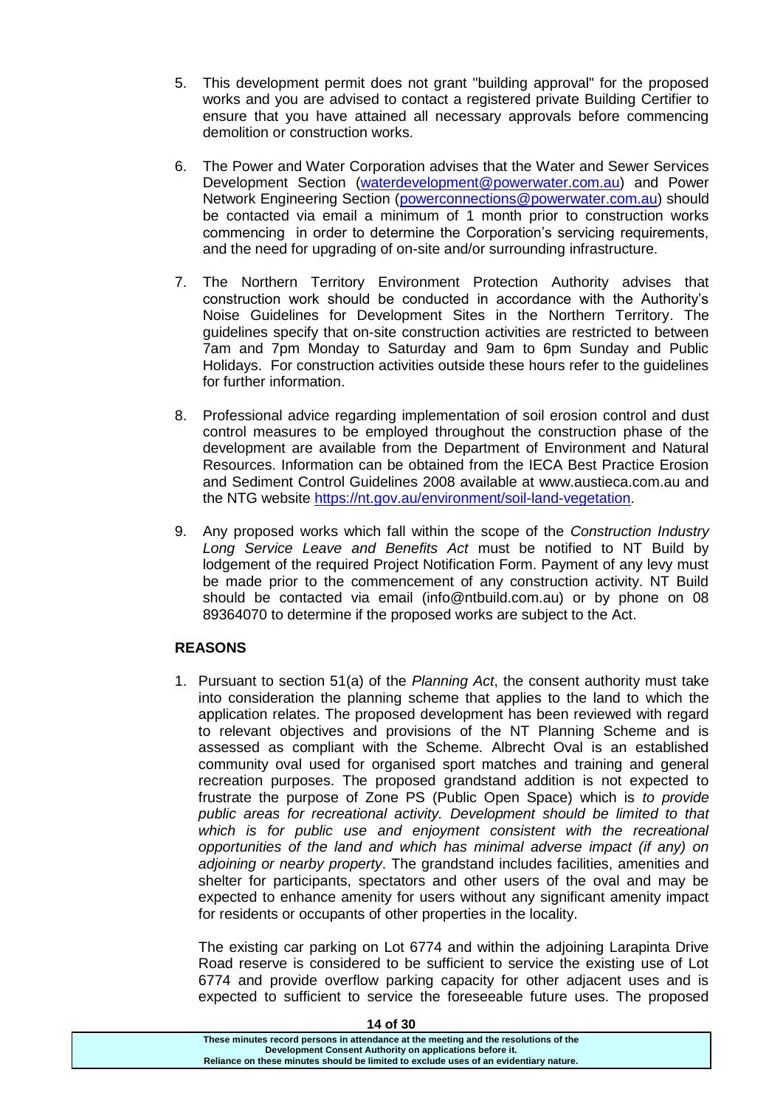- 5. This development permit does not grant "building approval" for the proposed works and you are advised to contact a registered private Building Certifier to ensure that you have attained all necessary approvals before commencing demolition or construction works.
- 6. The Power and Water Corporation advises that the Water and Sewer Services Development Section [\(waterdevelopment@powerwater.com.au\)](mailto:waterdevelopment@powerwater.com.au) and Power Network Engineering Section [\(powerconnections@powerwater.com.au\)](mailto:powerconnections@powerwater.com.au) should be contacted via email a minimum of 1 month prior to construction works commencing in order to determine the Corporation's servicing requirements, and the need for upgrading of on-site and/or surrounding infrastructure.
- 7. The Northern Territory Environment Protection Authority advises that construction work should be conducted in accordance with the Authority's Noise Guidelines for Development Sites in the Northern Territory. The guidelines specify that on-site construction activities are restricted to between 7am and 7pm Monday to Saturday and 9am to 6pm Sunday and Public Holidays. For construction activities outside these hours refer to the guidelines for further information.
- 8. Professional advice regarding implementation of soil erosion control and dust control measures to be employed throughout the construction phase of the development are available from the Department of Environment and Natural Resources. Information can be obtained from the IECA Best Practice Erosion and Sediment Control Guidelines 2008 available at www.austieca.com.au and the NTG website [https://nt.gov.au/environment/soil-land-vegetation.](https://nt.gov.au/environment/soil-land-vegetation)
- 9. Any proposed works which fall within the scope of the *Construction Industry Long Service Leave and Benefits Act* must be notified to NT Build by lodgement of the required Project Notification Form. Payment of any levy must be made prior to the commencement of any construction activity. NT Build should be contacted via email (info@ntbuild.com.au) or by phone on 08 89364070 to determine if the proposed works are subject to the Act.

## **REASONS**

1. Pursuant to section 51(a) of the *Planning Act*, the consent authority must take into consideration the planning scheme that applies to the land to which the application relates. The proposed development has been reviewed with regard to relevant objectives and provisions of the NT Planning Scheme and is assessed as compliant with the Scheme. Albrecht Oval is an established community oval used for organised sport matches and training and general recreation purposes. The proposed grandstand addition is not expected to frustrate the purpose of Zone PS (Public Open Space) which is *to provide public areas for recreational activity. Development should be limited to that which is for public use and enjoyment consistent with the recreational opportunities of the land and which has minimal adverse impact (if any) on adjoining or nearby property*. The grandstand includes facilities, amenities and shelter for participants, spectators and other users of the oval and may be expected to enhance amenity for users without any significant amenity impact for residents or occupants of other properties in the locality.

The existing car parking on Lot 6774 and within the adjoining Larapinta Drive Road reserve is considered to be sufficient to service the existing use of Lot 6774 and provide overflow parking capacity for other adjacent uses and is expected to sufficient to service the foreseeable future uses. The proposed

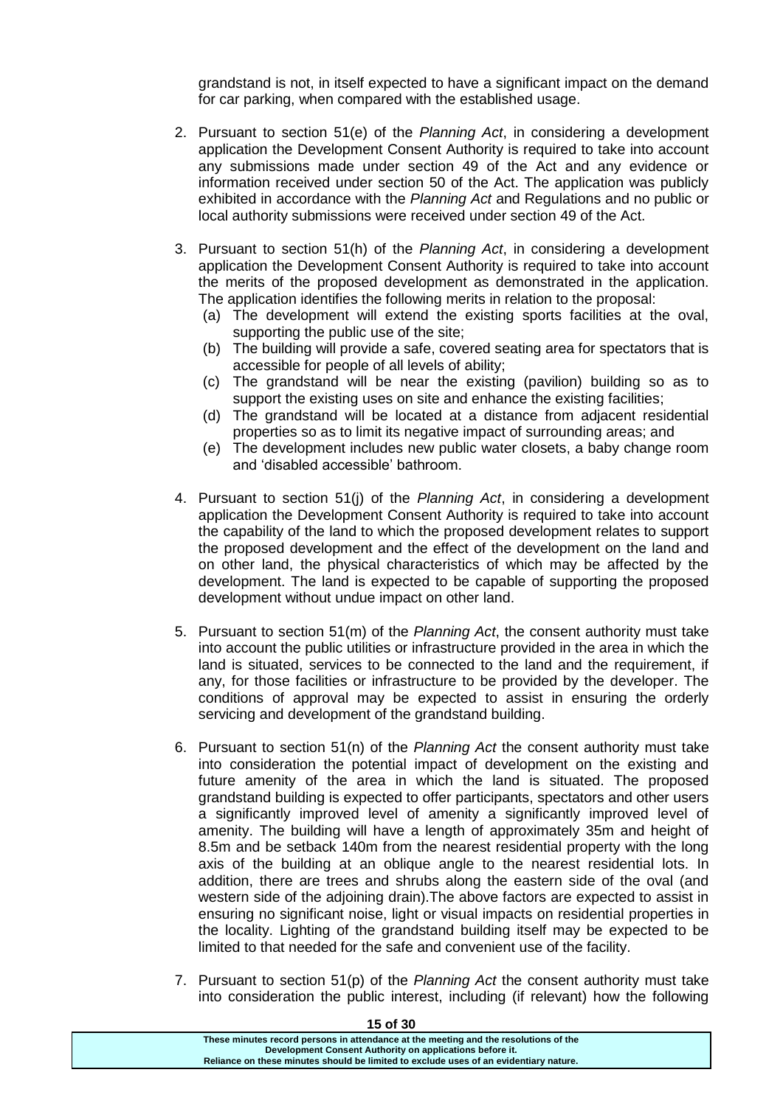grandstand is not, in itself expected to have a significant impact on the demand for car parking, when compared with the established usage.

- 2. Pursuant to section 51(e) of the *Planning Act*, in considering a development application the Development Consent Authority is required to take into account any submissions made under section 49 of the Act and any evidence or information received under section 50 of the Act. The application was publicly exhibited in accordance with the *Planning Act* and Regulations and no public or local authority submissions were received under section 49 of the Act.
- 3. Pursuant to section 51(h) of the *Planning Act*, in considering a development application the Development Consent Authority is required to take into account the merits of the proposed development as demonstrated in the application. The application identifies the following merits in relation to the proposal:
	- (a) The development will extend the existing sports facilities at the oval, supporting the public use of the site;
	- (b) The building will provide a safe, covered seating area for spectators that is accessible for people of all levels of ability;
	- (c) The grandstand will be near the existing (pavilion) building so as to support the existing uses on site and enhance the existing facilities;
	- (d) The grandstand will be located at a distance from adjacent residential properties so as to limit its negative impact of surrounding areas; and
	- (e) The development includes new public water closets, a baby change room and 'disabled accessible' bathroom.
- 4. Pursuant to section 51(j) of the *Planning Act*, in considering a development application the Development Consent Authority is required to take into account the capability of the land to which the proposed development relates to support the proposed development and the effect of the development on the land and on other land, the physical characteristics of which may be affected by the development. The land is expected to be capable of supporting the proposed development without undue impact on other land.
- 5. Pursuant to section 51(m) of the *Planning Act*, the consent authority must take into account the public utilities or infrastructure provided in the area in which the land is situated, services to be connected to the land and the requirement, if any, for those facilities or infrastructure to be provided by the developer. The conditions of approval may be expected to assist in ensuring the orderly servicing and development of the grandstand building.
- 6. Pursuant to section 51(n) of the *Planning Act* the consent authority must take into consideration the potential impact of development on the existing and future amenity of the area in which the land is situated. The proposed grandstand building is expected to offer participants, spectators and other users a significantly improved level of amenity a significantly improved level of amenity. The building will have a length of approximately 35m and height of 8.5m and be setback 140m from the nearest residential property with the long axis of the building at an oblique angle to the nearest residential lots. In addition, there are trees and shrubs along the eastern side of the oval (and western side of the adjoining drain).The above factors are expected to assist in ensuring no significant noise, light or visual impacts on residential properties in the locality. Lighting of the grandstand building itself may be expected to be limited to that needed for the safe and convenient use of the facility.
- 7. Pursuant to section 51(p) of the *Planning Act* the consent authority must take into consideration the public interest, including (if relevant) how the following

| 15 OT 30                                                                              |
|---------------------------------------------------------------------------------------|
| These minutes record persons in attendance at the meeting and the resolutions of the  |
| Development Consent Authority on applications before it.                              |
| Reliance on these minutes should be limited to exclude uses of an evidentiary nature. |
|                                                                                       |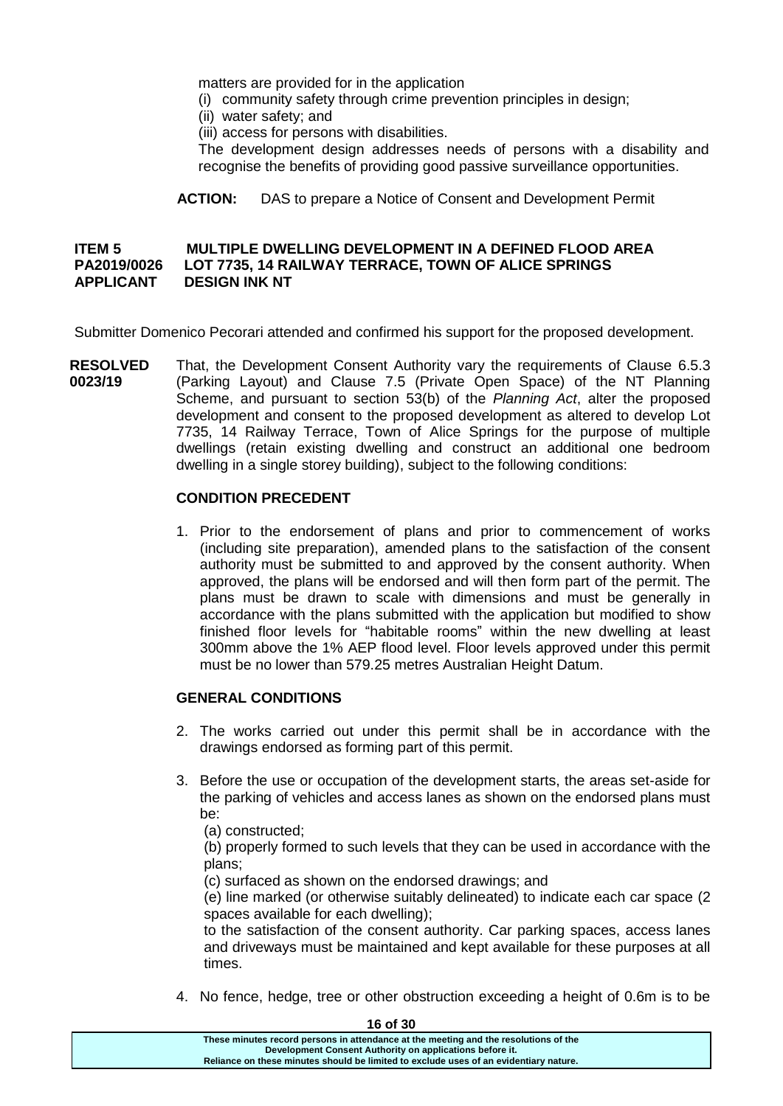matters are provided for in the application

- (i) community safety through crime prevention principles in design;
- (ii) water safety; and
- (iii) access for persons with disabilities.

The development design addresses needs of persons with a disability and recognise the benefits of providing good passive surveillance opportunities.

**ACTION:** DAS to prepare a Notice of Consent and Development Permit

## **ITEM 5 MULTIPLE DWELLING DEVELOPMENT IN A DEFINED FLOOD AREA PA2019/0026 LOT 7735, 14 RAILWAY TERRACE, TOWN OF ALICE SPRINGS APPLICANT DESIGN INK NT**

Submitter Domenico Pecorari attended and confirmed his support for the proposed development.

**RESOLVED 0023/19** That, the Development Consent Authority vary the requirements of Clause 6.5.3 (Parking Layout) and Clause 7.5 (Private Open Space) of the NT Planning Scheme, and pursuant to section 53(b) of the *Planning Act*, alter the proposed development and consent to the proposed development as altered to develop Lot 7735, 14 Railway Terrace, Town of Alice Springs for the purpose of multiple dwellings (retain existing dwelling and construct an additional one bedroom dwelling in a single storey building), subject to the following conditions:

## **CONDITION PRECEDENT**

1. Prior to the endorsement of plans and prior to commencement of works (including site preparation), amended plans to the satisfaction of the consent authority must be submitted to and approved by the consent authority. When approved, the plans will be endorsed and will then form part of the permit. The plans must be drawn to scale with dimensions and must be generally in accordance with the plans submitted with the application but modified to show finished floor levels for "habitable rooms" within the new dwelling at least 300mm above the 1% AEP flood level. Floor levels approved under this permit must be no lower than 579.25 metres Australian Height Datum.

#### **GENERAL CONDITIONS**

- 2. The works carried out under this permit shall be in accordance with the drawings endorsed as forming part of this permit.
- 3. Before the use or occupation of the development starts, the areas set-aside for the parking of vehicles and access lanes as shown on the endorsed plans must be:

(a) constructed;

(b) properly formed to such levels that they can be used in accordance with the plans;

(c) surfaced as shown on the endorsed drawings; and

(e) line marked (or otherwise suitably delineated) to indicate each car space (2 spaces available for each dwelling);

to the satisfaction of the consent authority. Car parking spaces, access lanes and driveways must be maintained and kept available for these purposes at all times.

4. No fence, hedge, tree or other obstruction exceeding a height of 0.6m is to be

**These minutes record persons in attendance at the meeting and the resolutions of the Development Consent Authority on applications before it. Reliance on these minutes should be limited to exclude uses of an evidentiary nature.**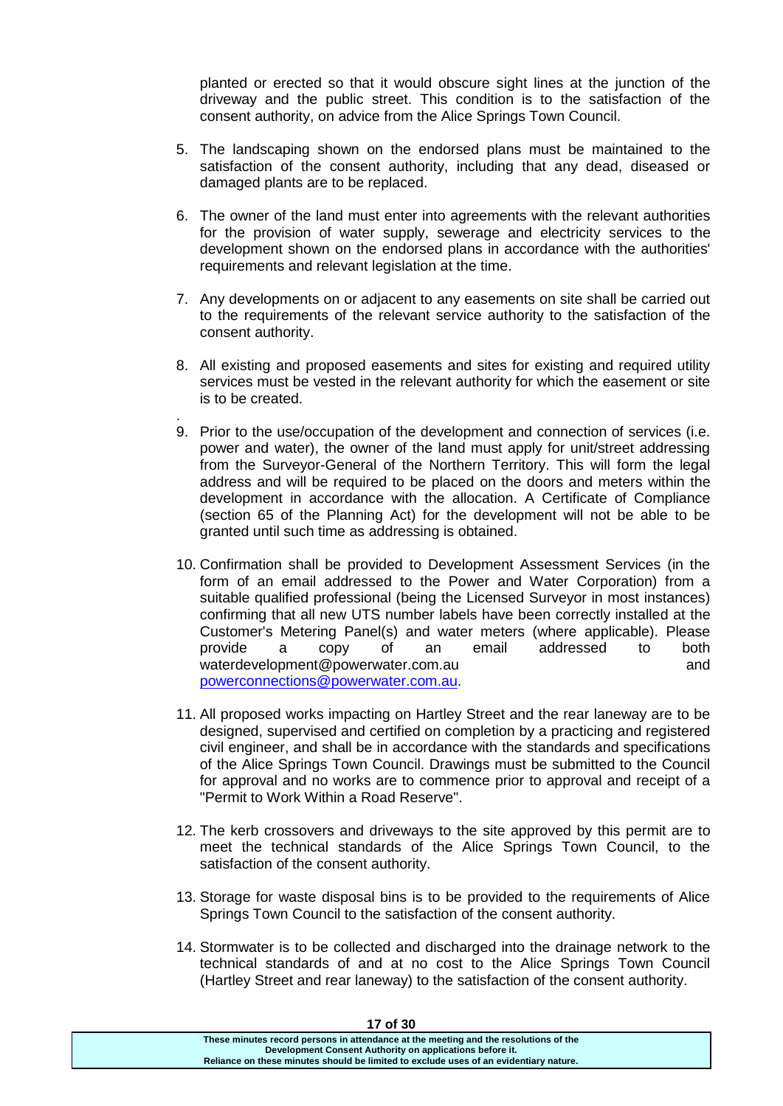planted or erected so that it would obscure sight lines at the junction of the driveway and the public street. This condition is to the satisfaction of the consent authority, on advice from the Alice Springs Town Council.

- 5. The landscaping shown on the endorsed plans must be maintained to the satisfaction of the consent authority, including that any dead, diseased or damaged plants are to be replaced.
- 6. The owner of the land must enter into agreements with the relevant authorities for the provision of water supply, sewerage and electricity services to the development shown on the endorsed plans in accordance with the authorities' requirements and relevant legislation at the time.
- 7. Any developments on or adjacent to any easements on site shall be carried out to the requirements of the relevant service authority to the satisfaction of the consent authority.
- 8. All existing and proposed easements and sites for existing and required utility services must be vested in the relevant authority for which the easement or site is to be created.
- . 9. Prior to the use/occupation of the development and connection of services (i.e. power and water), the owner of the land must apply for unit/street addressing from the Surveyor-General of the Northern Territory. This will form the legal address and will be required to be placed on the doors and meters within the development in accordance with the allocation. A Certificate of Compliance (section 65 of the Planning Act) for the development will not be able to be granted until such time as addressing is obtained.
- 10. Confirmation shall be provided to Development Assessment Services (in the form of an email addressed to the Power and Water Corporation) from a suitable qualified professional (being the Licensed Surveyor in most instances) confirming that all new UTS number labels have been correctly installed at the Customer's Metering Panel(s) and water meters (where applicable). Please provide a copy of an email addressed to both waterdevelopment@powerwater.com.au and [powerconnections@powerwater.com.au.](mailto:powerconnections@powerwater.com.au)
- 11. All proposed works impacting on Hartley Street and the rear laneway are to be designed, supervised and certified on completion by a practicing and registered civil engineer, and shall be in accordance with the standards and specifications of the Alice Springs Town Council. Drawings must be submitted to the Council for approval and no works are to commence prior to approval and receipt of a "Permit to Work Within a Road Reserve".
- 12. The kerb crossovers and driveways to the site approved by this permit are to meet the technical standards of the Alice Springs Town Council, to the satisfaction of the consent authority.
- 13. Storage for waste disposal bins is to be provided to the requirements of Alice Springs Town Council to the satisfaction of the consent authority.
- 14. Stormwater is to be collected and discharged into the drainage network to the technical standards of and at no cost to the Alice Springs Town Council (Hartley Street and rear laneway) to the satisfaction of the consent authority.

| 17 O 13U                                                                              |  |
|---------------------------------------------------------------------------------------|--|
| These minutes record persons in attendance at the meeting and the resolutions of the  |  |
| Development Consent Authority on applications before it.                              |  |
| Reliance on these minutes should be limited to exclude uses of an evidentiary nature. |  |
|                                                                                       |  |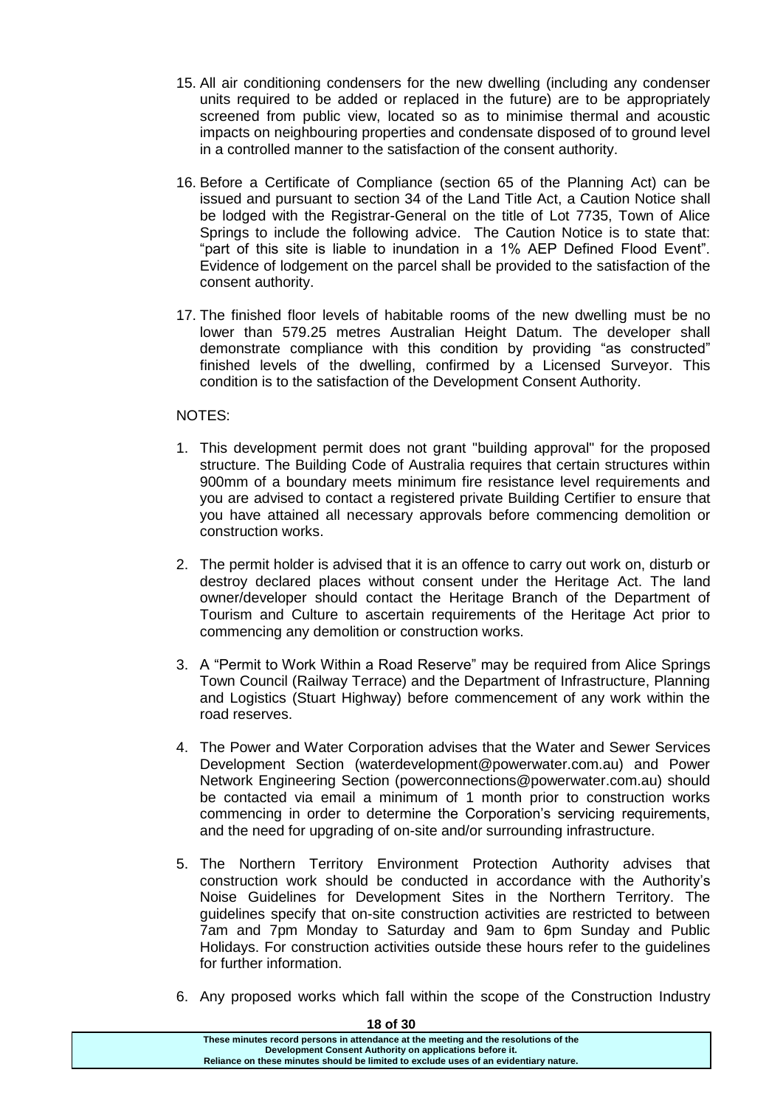- 15. All air conditioning condensers for the new dwelling (including any condenser units required to be added or replaced in the future) are to be appropriately screened from public view, located so as to minimise thermal and acoustic impacts on neighbouring properties and condensate disposed of to ground level in a controlled manner to the satisfaction of the consent authority.
- 16. Before a Certificate of Compliance (section 65 of the Planning Act) can be issued and pursuant to section 34 of the Land Title Act, a Caution Notice shall be lodged with the Registrar-General on the title of Lot 7735, Town of Alice Springs to include the following advice. The Caution Notice is to state that: "part of this site is liable to inundation in a 1% AEP Defined Flood Event". Evidence of lodgement on the parcel shall be provided to the satisfaction of the consent authority.
- 17. The finished floor levels of habitable rooms of the new dwelling must be no lower than 579.25 metres Australian Height Datum. The developer shall demonstrate compliance with this condition by providing "as constructed" finished levels of the dwelling, confirmed by a Licensed Surveyor. This condition is to the satisfaction of the Development Consent Authority.

## NOTES:

- 1. This development permit does not grant "building approval" for the proposed structure. The Building Code of Australia requires that certain structures within 900mm of a boundary meets minimum fire resistance level requirements and you are advised to contact a registered private Building Certifier to ensure that you have attained all necessary approvals before commencing demolition or construction works.
- 2. The permit holder is advised that it is an offence to carry out work on, disturb or destroy declared places without consent under the Heritage Act. The land owner/developer should contact the Heritage Branch of the Department of Tourism and Culture to ascertain requirements of the Heritage Act prior to commencing any demolition or construction works.
- 3. A "Permit to Work Within a Road Reserve" may be required from Alice Springs Town Council (Railway Terrace) and the Department of Infrastructure, Planning and Logistics (Stuart Highway) before commencement of any work within the road reserves.
- 4. The Power and Water Corporation advises that the Water and Sewer Services Development Section (waterdevelopment@powerwater.com.au) and Power Network Engineering Section (powerconnections@powerwater.com.au) should be contacted via email a minimum of 1 month prior to construction works commencing in order to determine the Corporation's servicing requirements, and the need for upgrading of on-site and/or surrounding infrastructure.
- 5. The Northern Territory Environment Protection Authority advises that construction work should be conducted in accordance with the Authority's Noise Guidelines for Development Sites in the Northern Territory. The guidelines specify that on-site construction activities are restricted to between 7am and 7pm Monday to Saturday and 9am to 6pm Sunday and Public Holidays. For construction activities outside these hours refer to the guidelines for further information.
- 6. Any proposed works which fall within the scope of the Construction Industry

| 10 U JU                                                                                                                                          |
|--------------------------------------------------------------------------------------------------------------------------------------------------|
| These minutes record persons in attendance at the meeting and the resolutions of the<br>Development Consent Authority on applications before it. |
| Reliance on these minutes should be limited to exclude uses of an evidentiary nature.                                                            |
|                                                                                                                                                  |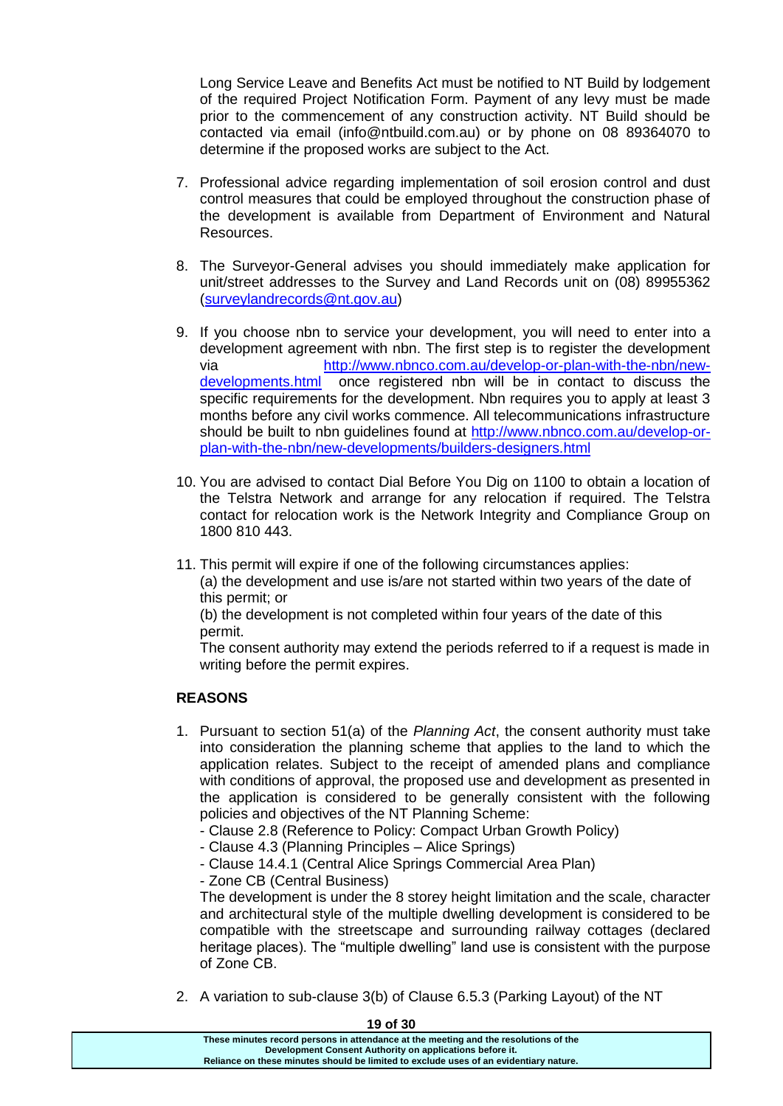Long Service Leave and Benefits Act must be notified to NT Build by lodgement of the required Project Notification Form. Payment of any levy must be made prior to the commencement of any construction activity. NT Build should be contacted via email (info@ntbuild.com.au) or by phone on 08 89364070 to determine if the proposed works are subject to the Act.

- 7. Professional advice regarding implementation of soil erosion control and dust control measures that could be employed throughout the construction phase of the development is available from Department of Environment and Natural Resources.
- 8. The Surveyor-General advises you should immediately make application for unit/street addresses to the Survey and Land Records unit on (08) 89955362 [\(surveylandrecords@nt.gov.au\)](mailto:surveylandrecords@nt.gov.au)
- 9. If you choose nbn to service your development, you will need to enter into a development agreement with nbn. The first step is to register the development via [http://www.nbnco.com.au/develop-or-plan-with-the-nbn/new](http://www.nbnco.com.au/develop-or-plan-with-the-nbn/new-developments.html)[developments.html](http://www.nbnco.com.au/develop-or-plan-with-the-nbn/new-developments.html) once registered nbn will be in contact to discuss the specific requirements for the development. Nbn requires you to apply at least 3 months before any civil works commence. All telecommunications infrastructure should be built to nbn guidelines found at [http://www.nbnco.com.au/develop-or](http://www.nbnco.com.au/develop-or-plan-with-the-nbn/new-developments/builders-designers.html)[plan-with-the-nbn/new-developments/builders-designers.html](http://www.nbnco.com.au/develop-or-plan-with-the-nbn/new-developments/builders-designers.html)
- 10. You are advised to contact Dial Before You Dig on 1100 to obtain a location of the Telstra Network and arrange for any relocation if required. The Telstra contact for relocation work is the Network Integrity and Compliance Group on 1800 810 443.
- 11. This permit will expire if one of the following circumstances applies: (a) the development and use is/are not started within two years of the date of this permit; or

(b) the development is not completed within four years of the date of this permit.

The consent authority may extend the periods referred to if a request is made in writing before the permit expires.

# **REASONS**

- 1. Pursuant to section 51(a) of the *Planning Act*, the consent authority must take into consideration the planning scheme that applies to the land to which the application relates. Subject to the receipt of amended plans and compliance with conditions of approval, the proposed use and development as presented in the application is considered to be generally consistent with the following policies and objectives of the NT Planning Scheme:
	- Clause 2.8 (Reference to Policy: Compact Urban Growth Policy)
	- Clause 4.3 (Planning Principles Alice Springs)
	- Clause 14.4.1 (Central Alice Springs Commercial Area Plan)
	- Zone CB (Central Business)

The development is under the 8 storey height limitation and the scale, character and architectural style of the multiple dwelling development is considered to be compatible with the streetscape and surrounding railway cottages (declared heritage places). The "multiple dwelling" land use is consistent with the purpose of Zone CB.

2. A variation to sub-clause 3(b) of Clause 6.5.3 (Parking Layout) of the NT

**These minutes record persons in attendance at the meeting and the resolutions of the Development Consent Authority on applications before it. Reliance on these minutes should be limited to exclude uses of an evidentiary nature.**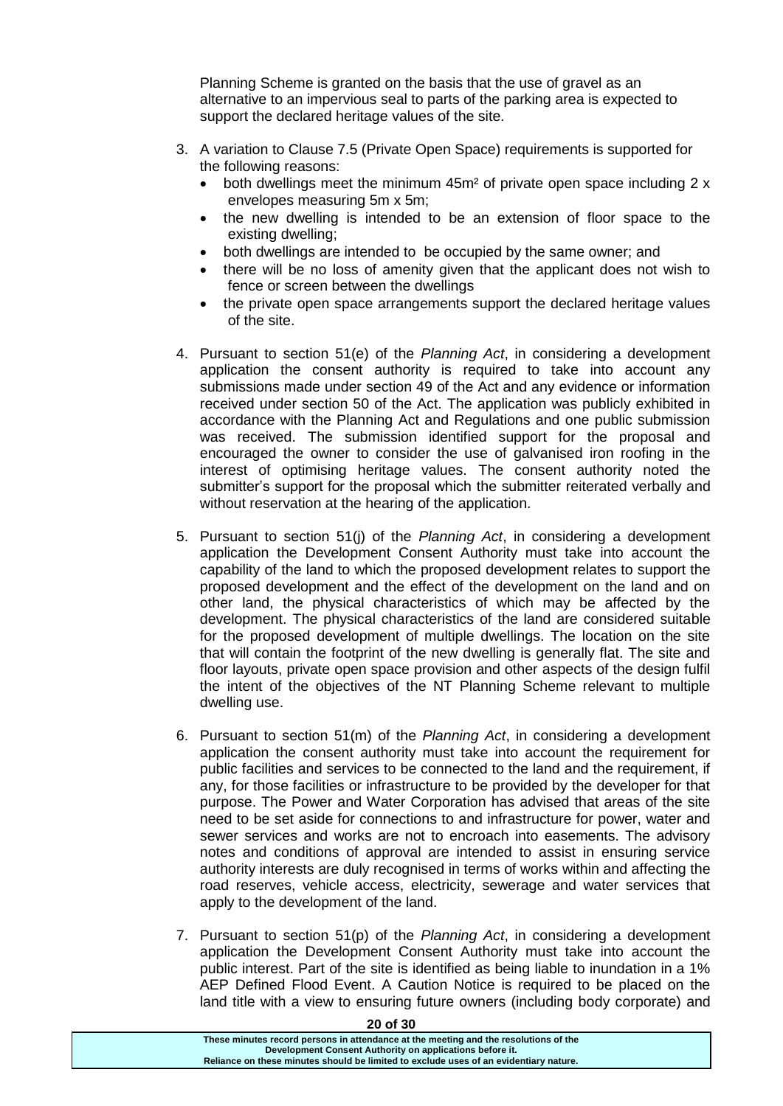Planning Scheme is granted on the basis that the use of gravel as an alternative to an impervious seal to parts of the parking area is expected to support the declared heritage values of the site.

- 3. A variation to Clause 7.5 (Private Open Space) requirements is supported for the following reasons:
	- both dwellings meet the minimum 45m<sup>2</sup> of private open space including 2 x envelopes measuring 5m x 5m;
	- the new dwelling is intended to be an extension of floor space to the existing dwelling;
	- both dwellings are intended to be occupied by the same owner; and
	- there will be no loss of amenity given that the applicant does not wish to fence or screen between the dwellings
	- the private open space arrangements support the declared heritage values of the site.
- 4. Pursuant to section 51(e) of the *Planning Act*, in considering a development application the consent authority is required to take into account any submissions made under section 49 of the Act and any evidence or information received under section 50 of the Act. The application was publicly exhibited in accordance with the Planning Act and Regulations and one public submission was received. The submission identified support for the proposal and encouraged the owner to consider the use of galvanised iron roofing in the interest of optimising heritage values. The consent authority noted the submitter's support for the proposal which the submitter reiterated verbally and without reservation at the hearing of the application.
- 5. Pursuant to section 51(j) of the *Planning Act*, in considering a development application the Development Consent Authority must take into account the capability of the land to which the proposed development relates to support the proposed development and the effect of the development on the land and on other land, the physical characteristics of which may be affected by the development. The physical characteristics of the land are considered suitable for the proposed development of multiple dwellings. The location on the site that will contain the footprint of the new dwelling is generally flat. The site and floor layouts, private open space provision and other aspects of the design fulfil the intent of the objectives of the NT Planning Scheme relevant to multiple dwelling use.
- 6. Pursuant to section 51(m) of the *Planning Act*, in considering a development application the consent authority must take into account the requirement for public facilities and services to be connected to the land and the requirement, if any, for those facilities or infrastructure to be provided by the developer for that purpose. The Power and Water Corporation has advised that areas of the site need to be set aside for connections to and infrastructure for power, water and sewer services and works are not to encroach into easements. The advisory notes and conditions of approval are intended to assist in ensuring service authority interests are duly recognised in terms of works within and affecting the road reserves, vehicle access, electricity, sewerage and water services that apply to the development of the land.
- 7. Pursuant to section 51(p) of the *Planning Act*, in considering a development application the Development Consent Authority must take into account the public interest. Part of the site is identified as being liable to inundation in a 1% AEP Defined Flood Event. A Caution Notice is required to be placed on the land title with a view to ensuring future owners (including body corporate) and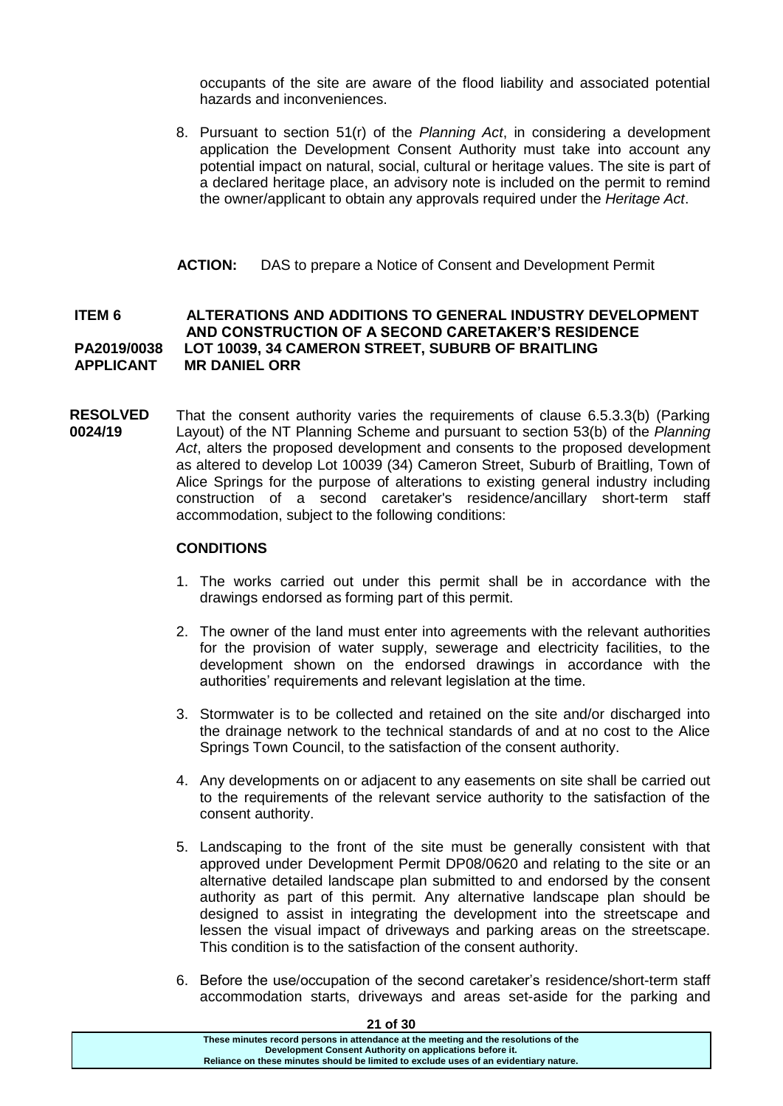occupants of the site are aware of the flood liability and associated potential hazards and inconveniences.

8. Pursuant to section 51(r) of the *Planning Act*, in considering a development application the Development Consent Authority must take into account any potential impact on natural, social, cultural or heritage values. The site is part of a declared heritage place, an advisory note is included on the permit to remind the owner/applicant to obtain any approvals required under the *Heritage Act*.

## **ACTION:** DAS to prepare a Notice of Consent and Development Permit

## **ITEM 6 ALTERATIONS AND ADDITIONS TO GENERAL INDUSTRY DEVELOPMENT AND CONSTRUCTION OF A SECOND CARETAKER'S RESIDENCE PA2019/0038 LOT 10039, 34 CAMERON STREET, SUBURB OF BRAITLING APPLICANT MR DANIEL ORR**

**RESOLVED 0024/19** That the consent authority varies the requirements of clause 6.5.3.3(b) (Parking Layout) of the NT Planning Scheme and pursuant to section 53(b) of the *Planning Act*, alters the proposed development and consents to the proposed development as altered to develop Lot 10039 (34) Cameron Street, Suburb of Braitling, Town of Alice Springs for the purpose of alterations to existing general industry including construction of a second caretaker's residence/ancillary short-term staff accommodation, subject to the following conditions:

#### **CONDITIONS**

- 1. The works carried out under this permit shall be in accordance with the drawings endorsed as forming part of this permit.
- 2. The owner of the land must enter into agreements with the relevant authorities for the provision of water supply, sewerage and electricity facilities, to the development shown on the endorsed drawings in accordance with the authorities' requirements and relevant legislation at the time.
- 3. Stormwater is to be collected and retained on the site and/or discharged into the drainage network to the technical standards of and at no cost to the Alice Springs Town Council, to the satisfaction of the consent authority.
- 4. Any developments on or adjacent to any easements on site shall be carried out to the requirements of the relevant service authority to the satisfaction of the consent authority.
- 5. Landscaping to the front of the site must be generally consistent with that approved under Development Permit DP08/0620 and relating to the site or an alternative detailed landscape plan submitted to and endorsed by the consent authority as part of this permit. Any alternative landscape plan should be designed to assist in integrating the development into the streetscape and lessen the visual impact of driveways and parking areas on the streetscape. This condition is to the satisfaction of the consent authority.
- 6. Before the use/occupation of the second caretaker's residence/short-term staff accommodation starts, driveways and areas set-aside for the parking and

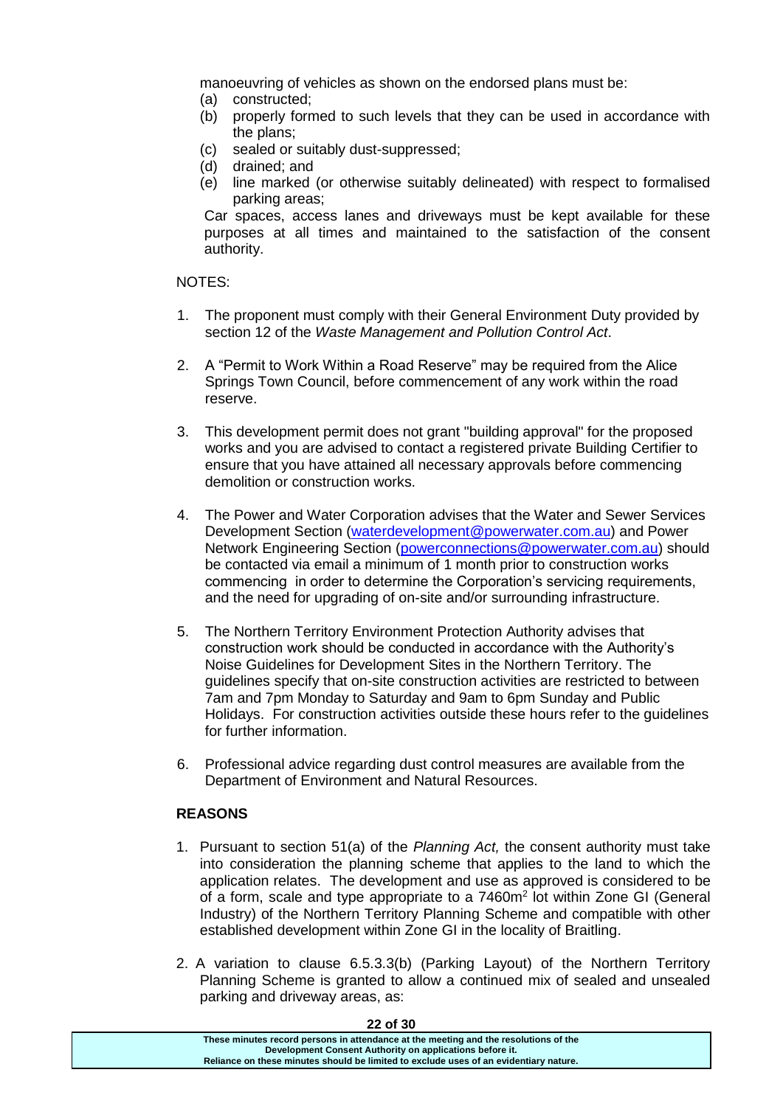manoeuvring of vehicles as shown on the endorsed plans must be:

- (a) constructed;
- (b) properly formed to such levels that they can be used in accordance with the plans;
- (c) sealed or suitably dust-suppressed;
- (d) drained; and
- (e) line marked (or otherwise suitably delineated) with respect to formalised parking areas;

Car spaces, access lanes and driveways must be kept available for these purposes at all times and maintained to the satisfaction of the consent authority.

NOTES:

- 1. The proponent must comply with their General Environment Duty provided by section 12 of the *Waste Management and Pollution Control Act*.
- 2. A "Permit to Work Within a Road Reserve" may be required from the Alice Springs Town Council, before commencement of any work within the road reserve.
- 3. This development permit does not grant "building approval" for the proposed works and you are advised to contact a registered private Building Certifier to ensure that you have attained all necessary approvals before commencing demolition or construction works.
- 4. The Power and Water Corporation advises that the Water and Sewer Services Development Section [\(waterdevelopment@powerwater.com.au\)](mailto:waterdevelopment@powerwater.com.au) and Power Network Engineering Section [\(powerconnections@powerwater.com.au\)](mailto:powerconnections@powerwater.com.au) should be contacted via email a minimum of 1 month prior to construction works commencing in order to determine the Corporation's servicing requirements, and the need for upgrading of on-site and/or surrounding infrastructure.
- 5. The Northern Territory Environment Protection Authority advises that construction work should be conducted in accordance with the Authority's Noise Guidelines for Development Sites in the Northern Territory. The guidelines specify that on-site construction activities are restricted to between 7am and 7pm Monday to Saturday and 9am to 6pm Sunday and Public Holidays. For construction activities outside these hours refer to the guidelines for further information.
- 6. Professional advice regarding dust control measures are available from the Department of Environment and Natural Resources.

## **REASONS**

- 1. Pursuant to section 51(a) of the *Planning Act,* the consent authority must take into consideration the planning scheme that applies to the land to which the application relates. The development and use as approved is considered to be of a form, scale and type appropriate to a 7460m<sup>2</sup> lot within Zone GI (General Industry) of the Northern Territory Planning Scheme and compatible with other established development within Zone GI in the locality of Braitling.
- 2. A variation to clause 6.5.3.3(b) (Parking Layout) of the Northern Territory Planning Scheme is granted to allow a continued mix of sealed and unsealed parking and driveway areas, as:

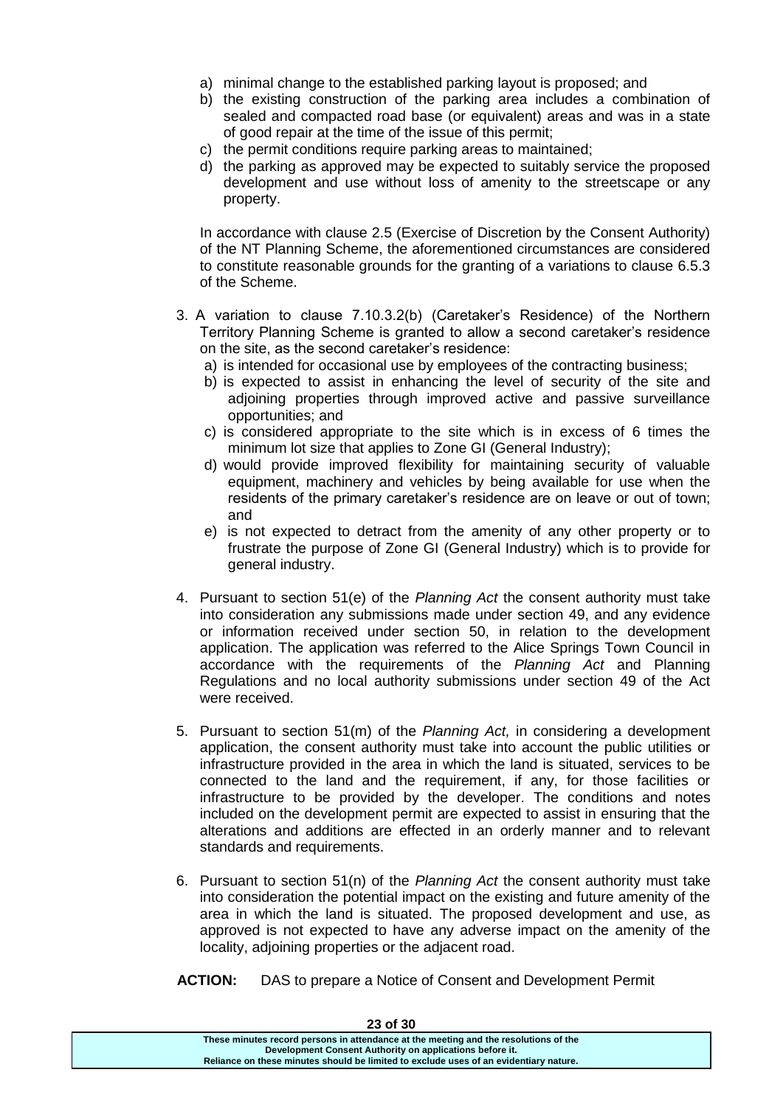- a) minimal change to the established parking layout is proposed; and
- b) the existing construction of the parking area includes a combination of sealed and compacted road base (or equivalent) areas and was in a state of good repair at the time of the issue of this permit;
- c) the permit conditions require parking areas to maintained;
- d) the parking as approved may be expected to suitably service the proposed development and use without loss of amenity to the streetscape or any property.

In accordance with clause 2.5 (Exercise of Discretion by the Consent Authority) of the NT Planning Scheme, the aforementioned circumstances are considered to constitute reasonable grounds for the granting of a variations to clause 6.5.3 of the Scheme.

- 3. A variation to clause 7.10.3.2(b) (Caretaker's Residence) of the Northern Territory Planning Scheme is granted to allow a second caretaker's residence on the site, as the second caretaker's residence:
	- a) is intended for occasional use by employees of the contracting business;
	- b) is expected to assist in enhancing the level of security of the site and adjoining properties through improved active and passive surveillance opportunities; and
	- c) is considered appropriate to the site which is in excess of 6 times the minimum lot size that applies to Zone GI (General Industry);
	- d) would provide improved flexibility for maintaining security of valuable equipment, machinery and vehicles by being available for use when the residents of the primary caretaker's residence are on leave or out of town; and
	- e) is not expected to detract from the amenity of any other property or to frustrate the purpose of Zone GI (General Industry) which is to provide for general industry.
- 4. Pursuant to section 51(e) of the *Planning Act* the consent authority must take into consideration any submissions made under section 49, and any evidence or information received under section 50, in relation to the development application. The application was referred to the Alice Springs Town Council in accordance with the requirements of the *Planning Act* and Planning Regulations and no local authority submissions under section 49 of the Act were received.
- 5. Pursuant to section 51(m) of the *Planning Act,* in considering a development application, the consent authority must take into account the public utilities or infrastructure provided in the area in which the land is situated, services to be connected to the land and the requirement, if any, for those facilities or infrastructure to be provided by the developer. The conditions and notes included on the development permit are expected to assist in ensuring that the alterations and additions are effected in an orderly manner and to relevant standards and requirements.
- 6. Pursuant to section 51(n) of the *Planning Act* the consent authority must take into consideration the potential impact on the existing and future amenity of the area in which the land is situated. The proposed development and use, as approved is not expected to have any adverse impact on the amenity of the locality, adjoining properties or the adjacent road.
- **ACTION:** DAS to prepare a Notice of Consent and Development Permit

| <b>23 OF 30</b>                                                                       |
|---------------------------------------------------------------------------------------|
| These minutes record persons in attendance at the meeting and the resolutions of the  |
| Development Consent Authority on applications before it.                              |
| Reliance on these minutes should be limited to exclude uses of an evidentiary nature. |
|                                                                                       |

**23 of 30**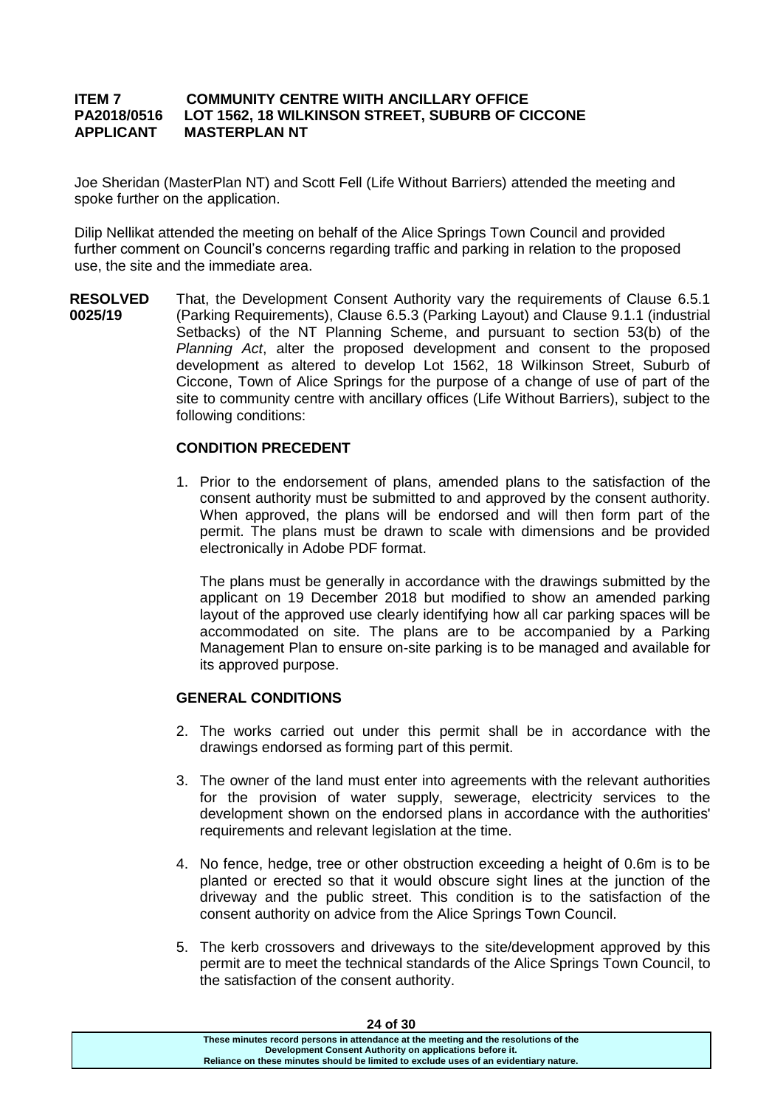## **ITEM 7 COMMUNITY CENTRE WIITH ANCILLARY OFFICE PA2018/0516 LOT 1562, 18 WILKINSON STREET, SUBURB OF CICCONE APPLICANT MASTERPLAN NT**

Joe Sheridan (MasterPlan NT) and Scott Fell (Life Without Barriers) attended the meeting and spoke further on the application.

Dilip Nellikat attended the meeting on behalf of the Alice Springs Town Council and provided further comment on Council's concerns regarding traffic and parking in relation to the proposed use, the site and the immediate area.

**RESOLVED 0025/19** That, the Development Consent Authority vary the requirements of Clause 6.5.1 (Parking Requirements), Clause 6.5.3 (Parking Layout) and Clause 9.1.1 (industrial Setbacks) of the NT Planning Scheme, and pursuant to section 53(b) of the *Planning Act*, alter the proposed development and consent to the proposed development as altered to develop Lot 1562, 18 Wilkinson Street, Suburb of Ciccone, Town of Alice Springs for the purpose of a change of use of part of the site to community centre with ancillary offices (Life Without Barriers), subject to the following conditions:

## **CONDITION PRECEDENT**

1. Prior to the endorsement of plans, amended plans to the satisfaction of the consent authority must be submitted to and approved by the consent authority. When approved, the plans will be endorsed and will then form part of the permit. The plans must be drawn to scale with dimensions and be provided electronically in Adobe PDF format.

The plans must be generally in accordance with the drawings submitted by the applicant on 19 December 2018 but modified to show an amended parking layout of the approved use clearly identifying how all car parking spaces will be accommodated on site. The plans are to be accompanied by a Parking Management Plan to ensure on-site parking is to be managed and available for its approved purpose.

## **GENERAL CONDITIONS**

- 2. The works carried out under this permit shall be in accordance with the drawings endorsed as forming part of this permit.
- 3. The owner of the land must enter into agreements with the relevant authorities for the provision of water supply, sewerage, electricity services to the development shown on the endorsed plans in accordance with the authorities' requirements and relevant legislation at the time.
- 4. No fence, hedge, tree or other obstruction exceeding a height of 0.6m is to be planted or erected so that it would obscure sight lines at the junction of the driveway and the public street. This condition is to the satisfaction of the consent authority on advice from the Alice Springs Town Council.
- 5. The kerb crossovers and driveways to the site/development approved by this permit are to meet the technical standards of the Alice Springs Town Council, to the satisfaction of the consent authority.

| <b>24 OT 30</b>                                                                       |  |
|---------------------------------------------------------------------------------------|--|
| These minutes record persons in attendance at the meeting and the resolutions of the  |  |
| Development Consent Authority on applications before it.                              |  |
| Reliance on these minutes should be limited to exclude uses of an evidentiary nature. |  |
|                                                                                       |  |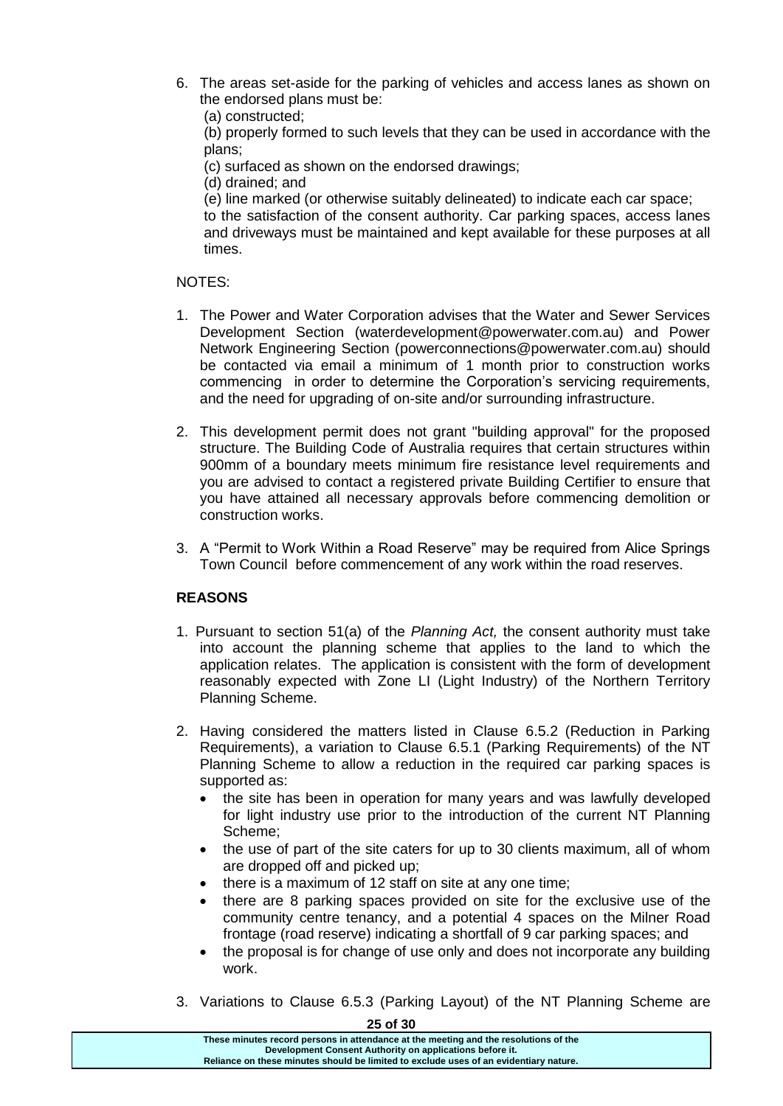- 6. The areas set-aside for the parking of vehicles and access lanes as shown on the endorsed plans must be:
	- (a) constructed;

(b) properly formed to such levels that they can be used in accordance with the plans;

- (c) surfaced as shown on the endorsed drawings;
- (d) drained; and

(e) line marked (or otherwise suitably delineated) to indicate each car space; to the satisfaction of the consent authority. Car parking spaces, access lanes and driveways must be maintained and kept available for these purposes at all times.

## NOTES:

- 1. The Power and Water Corporation advises that the Water and Sewer Services Development Section (waterdevelopment@powerwater.com.au) and Power Network Engineering Section (powerconnections@powerwater.com.au) should be contacted via email a minimum of 1 month prior to construction works commencing in order to determine the Corporation's servicing requirements, and the need for upgrading of on-site and/or surrounding infrastructure.
- 2. This development permit does not grant "building approval" for the proposed structure. The Building Code of Australia requires that certain structures within 900mm of a boundary meets minimum fire resistance level requirements and you are advised to contact a registered private Building Certifier to ensure that you have attained all necessary approvals before commencing demolition or construction works.
- 3. A "Permit to Work Within a Road Reserve" may be required from Alice Springs Town Council before commencement of any work within the road reserves.

# **REASONS**

- 1. Pursuant to section 51(a) of the *Planning Act,* the consent authority must take into account the planning scheme that applies to the land to which the application relates. The application is consistent with the form of development reasonably expected with Zone LI (Light Industry) of the Northern Territory Planning Scheme.
- 2. Having considered the matters listed in Clause 6.5.2 (Reduction in Parking Requirements), a variation to Clause 6.5.1 (Parking Requirements) of the NT Planning Scheme to allow a reduction in the required car parking spaces is supported as:
	- the site has been in operation for many years and was lawfully developed for light industry use prior to the introduction of the current NT Planning Scheme;
	- the use of part of the site caters for up to 30 clients maximum, all of whom are dropped off and picked up;
	- there is a maximum of 12 staff on site at any one time;
	- there are 8 parking spaces provided on site for the exclusive use of the community centre tenancy, and a potential 4 spaces on the Milner Road frontage (road reserve) indicating a shortfall of 9 car parking spaces; and
	- the proposal is for change of use only and does not incorporate any building work.
- 3. Variations to Clause 6.5.3 (Parking Layout) of the NT Planning Scheme are

| יט וט ב                                                                               |
|---------------------------------------------------------------------------------------|
| These minutes record persons in attendance at the meeting and the resolutions of the  |
| Development Consent Authority on applications before it.                              |
| Reliance on these minutes should be limited to exclude uses of an evidentiary nature. |
|                                                                                       |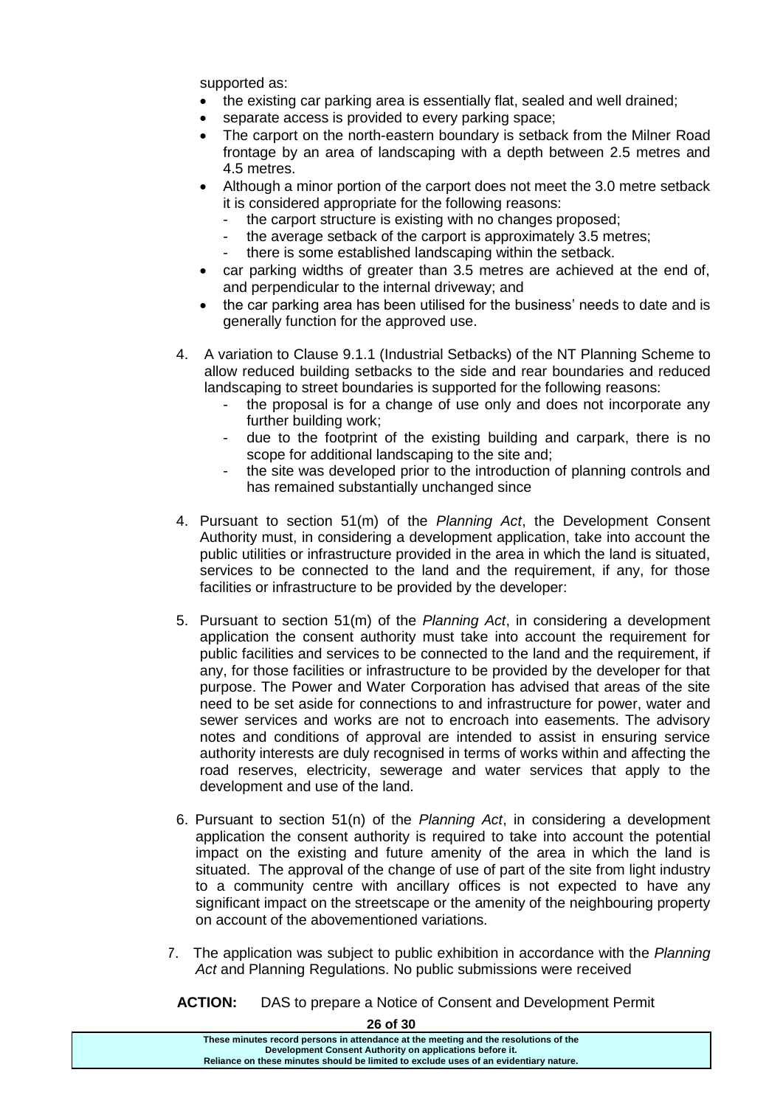supported as:

- the existing car parking area is essentially flat, sealed and well drained;
- separate access is provided to every parking space;
- The carport on the north-eastern boundary is setback from the Milner Road frontage by an area of landscaping with a depth between 2.5 metres and 4.5 metres.
- Although a minor portion of the carport does not meet the 3.0 metre setback it is considered appropriate for the following reasons:
	- the carport structure is existing with no changes proposed;
	- the average setback of the carport is approximately 3.5 metres;
	- there is some established landscaping within the setback.
- car parking widths of greater than 3.5 metres are achieved at the end of, and perpendicular to the internal driveway; and
- the car parking area has been utilised for the business' needs to date and is generally function for the approved use.
- 4. A variation to Clause 9.1.1 (Industrial Setbacks) of the NT Planning Scheme to allow reduced building setbacks to the side and rear boundaries and reduced landscaping to street boundaries is supported for the following reasons:
	- the proposal is for a change of use only and does not incorporate any further building work;
	- due to the footprint of the existing building and carpark, there is no scope for additional landscaping to the site and;
	- the site was developed prior to the introduction of planning controls and has remained substantially unchanged since
- 4. Pursuant to section 51(m) of the *Planning Act*, the Development Consent Authority must, in considering a development application, take into account the public utilities or infrastructure provided in the area in which the land is situated, services to be connected to the land and the requirement, if any, for those facilities or infrastructure to be provided by the developer:
- 5. Pursuant to section 51(m) of the *Planning Act*, in considering a development application the consent authority must take into account the requirement for public facilities and services to be connected to the land and the requirement, if any, for those facilities or infrastructure to be provided by the developer for that purpose. The Power and Water Corporation has advised that areas of the site need to be set aside for connections to and infrastructure for power, water and sewer services and works are not to encroach into easements. The advisory notes and conditions of approval are intended to assist in ensuring service authority interests are duly recognised in terms of works within and affecting the road reserves, electricity, sewerage and water services that apply to the development and use of the land.
- 6. Pursuant to section 51(n) of the *Planning Act*, in considering a development application the consent authority is required to take into account the potential impact on the existing and future amenity of the area in which the land is situated. The approval of the change of use of part of the site from light industry to a community centre with ancillary offices is not expected to have any significant impact on the streetscape or the amenity of the neighbouring property on account of the abovementioned variations.
- 7. The application was subject to public exhibition in accordance with the *Planning Act* and Planning Regulations. No public submissions were received

**ACTION:** DAS to prepare a Notice of Consent and Development Permit

| 26 of 30                                                                                                                                                                                                                                  |
|-------------------------------------------------------------------------------------------------------------------------------------------------------------------------------------------------------------------------------------------|
| These minutes record persons in attendance at the meeting and the resolutions of the<br>Development Consent Authority on applications before it.<br>Reliance on these minutes should be limited to exclude uses of an evidentiary nature. |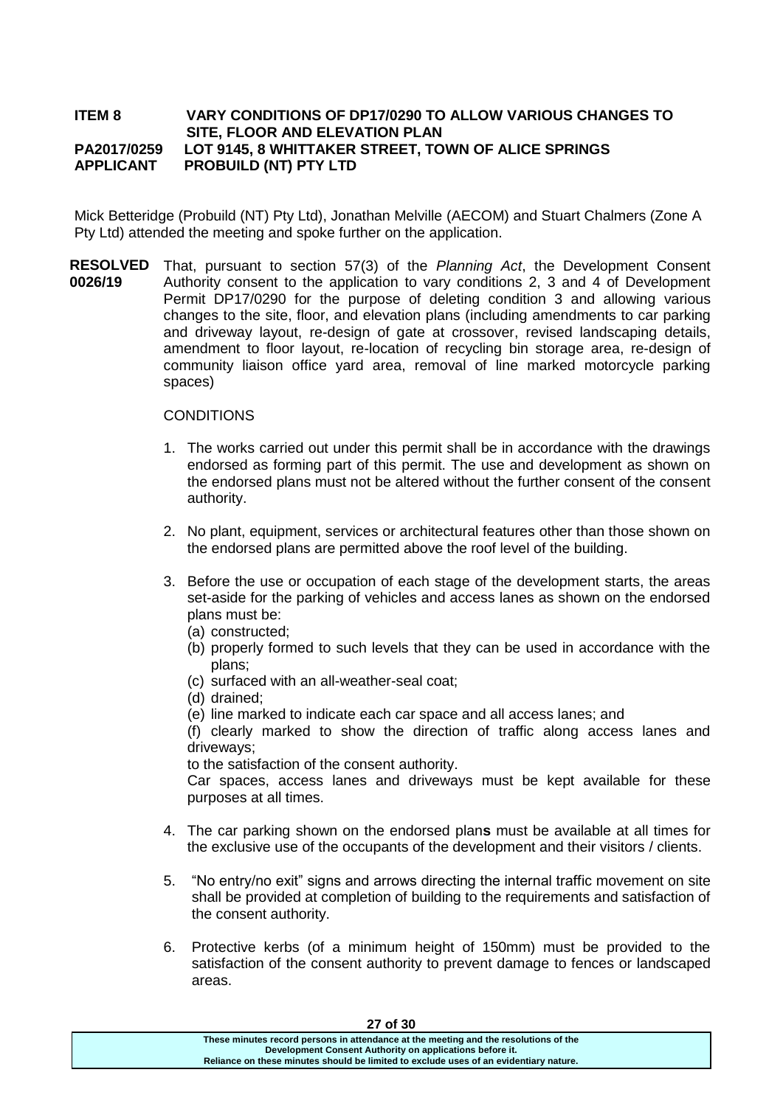## **ITEM 8 VARY CONDITIONS OF DP17/0290 TO ALLOW VARIOUS CHANGES TO SITE, FLOOR AND ELEVATION PLAN PA2017/0259 LOT 9145, 8 WHITTAKER STREET, TOWN OF ALICE SPRINGS APPLICANT PROBUILD (NT) PTY LTD**

Mick Betteridge (Probuild (NT) Pty Ltd), Jonathan Melville (AECOM) and Stuart Chalmers (Zone A Pty Ltd) attended the meeting and spoke further on the application.

**RESOLVED 0026/19** That, pursuant to section 57(3) of the *Planning Act*, the Development Consent Authority consent to the application to vary conditions 2, 3 and 4 of Development Permit DP17/0290 for the purpose of deleting condition 3 and allowing various changes to the site, floor, and elevation plans (including amendments to car parking and driveway layout, re-design of gate at crossover, revised landscaping details, amendment to floor layout, re-location of recycling bin storage area, re-design of community liaison office yard area, removal of line marked motorcycle parking spaces)

## **CONDITIONS**

- 1. The works carried out under this permit shall be in accordance with the drawings endorsed as forming part of this permit. The use and development as shown on the endorsed plans must not be altered without the further consent of the consent authority.
- 2. No plant, equipment, services or architectural features other than those shown on the endorsed plans are permitted above the roof level of the building.
- 3. Before the use or occupation of each stage of the development starts, the areas set-aside for the parking of vehicles and access lanes as shown on the endorsed plans must be:
	- (a) constructed;
	- (b) properly formed to such levels that they can be used in accordance with the plans;
	- (c) surfaced with an all-weather-seal coat;
	- (d) drained;
	- (e) line marked to indicate each car space and all access lanes; and

(f) clearly marked to show the direction of traffic along access lanes and driveways;

to the satisfaction of the consent authority.

Car spaces, access lanes and driveways must be kept available for these purposes at all times.

- 4. The car parking shown on the endorsed plan**s** must be available at all times for the exclusive use of the occupants of the development and their visitors / clients.
- 5. "No entry/no exit" signs and arrows directing the internal traffic movement on site shall be provided at completion of building to the requirements and satisfaction of the consent authority.
- 6. Protective kerbs (of a minimum height of 150mm) must be provided to the satisfaction of the consent authority to prevent damage to fences or landscaped areas.

| 27 of 30                                                                                                                                                                                                                                  |
|-------------------------------------------------------------------------------------------------------------------------------------------------------------------------------------------------------------------------------------------|
| These minutes record persons in attendance at the meeting and the resolutions of the<br>Development Consent Authority on applications before it.<br>Reliance on these minutes should be limited to exclude uses of an evidentiary nature. |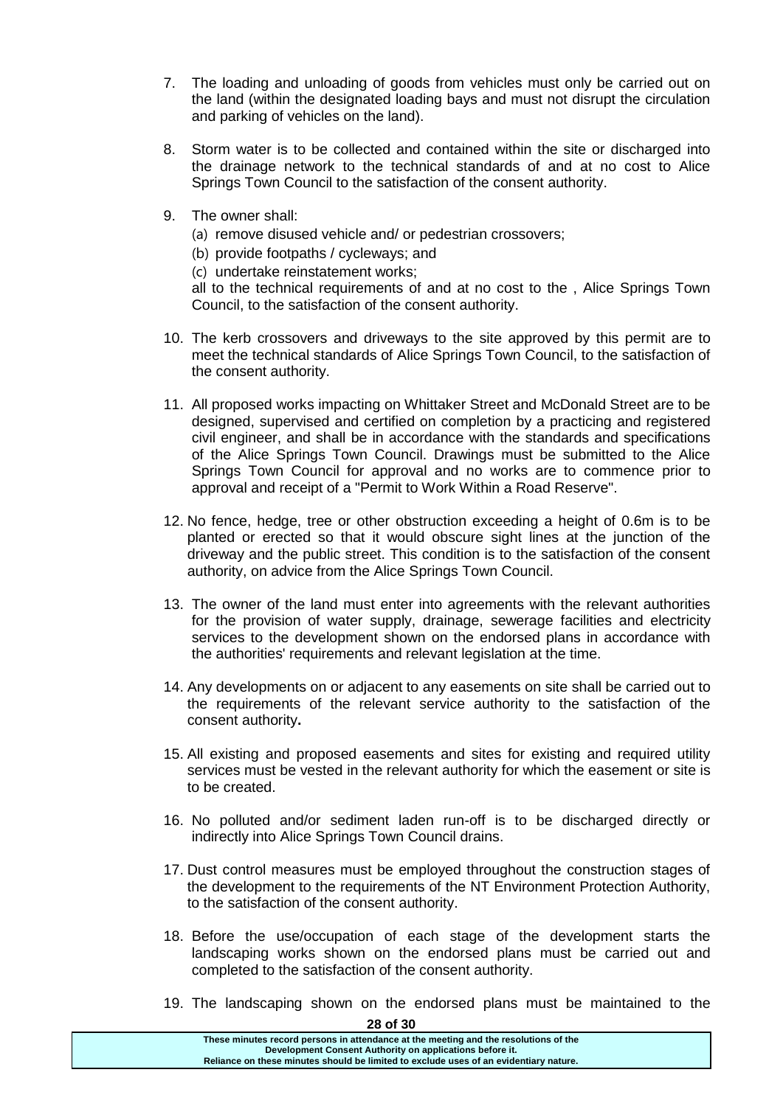- 7. The loading and unloading of goods from vehicles must only be carried out on the land (within the designated loading bays and must not disrupt the circulation and parking of vehicles on the land).
- 8. Storm water is to be collected and contained within the site or discharged into the drainage network to the technical standards of and at no cost to Alice Springs Town Council to the satisfaction of the consent authority.
- 9. The owner shall:
	- (a) remove disused vehicle and/ or pedestrian crossovers;
	- (b) provide footpaths / cycleways; and
	- (c) undertake reinstatement works;

all to the technical requirements of and at no cost to the , Alice Springs Town Council, to the satisfaction of the consent authority.

- 10. The kerb crossovers and driveways to the site approved by this permit are to meet the technical standards of Alice Springs Town Council, to the satisfaction of the consent authority.
- 11. All proposed works impacting on Whittaker Street and McDonald Street are to be designed, supervised and certified on completion by a practicing and registered civil engineer, and shall be in accordance with the standards and specifications of the Alice Springs Town Council. Drawings must be submitted to the Alice Springs Town Council for approval and no works are to commence prior to approval and receipt of a "Permit to Work Within a Road Reserve".
- 12. No fence, hedge, tree or other obstruction exceeding a height of 0.6m is to be planted or erected so that it would obscure sight lines at the junction of the driveway and the public street. This condition is to the satisfaction of the consent authority, on advice from the Alice Springs Town Council.
- 13. The owner of the land must enter into agreements with the relevant authorities for the provision of water supply, drainage, sewerage facilities and electricity services to the development shown on the endorsed plans in accordance with the authorities' requirements and relevant legislation at the time.
- 14. Any developments on or adjacent to any easements on site shall be carried out to the requirements of the relevant service authority to the satisfaction of the consent authority**.**
- 15. All existing and proposed easements and sites for existing and required utility services must be vested in the relevant authority for which the easement or site is to be created.
- 16. No polluted and/or sediment laden run-off is to be discharged directly or indirectly into Alice Springs Town Council drains.
- 17. Dust control measures must be employed throughout the construction stages of the development to the requirements of the NT Environment Protection Authority, to the satisfaction of the consent authority.
- 18. Before the use/occupation of each stage of the development starts the landscaping works shown on the endorsed plans must be carried out and completed to the satisfaction of the consent authority.
- 19. The landscaping shown on the endorsed plans must be maintained to the

| These minutes record persons in attendance at the meeting and the resolutions of the<br>Development Consent Authority on applications before it. | 28 of 30                                                                              |  |
|--------------------------------------------------------------------------------------------------------------------------------------------------|---------------------------------------------------------------------------------------|--|
|                                                                                                                                                  | Reliance on these minutes should be limited to exclude uses of an evidentiary nature. |  |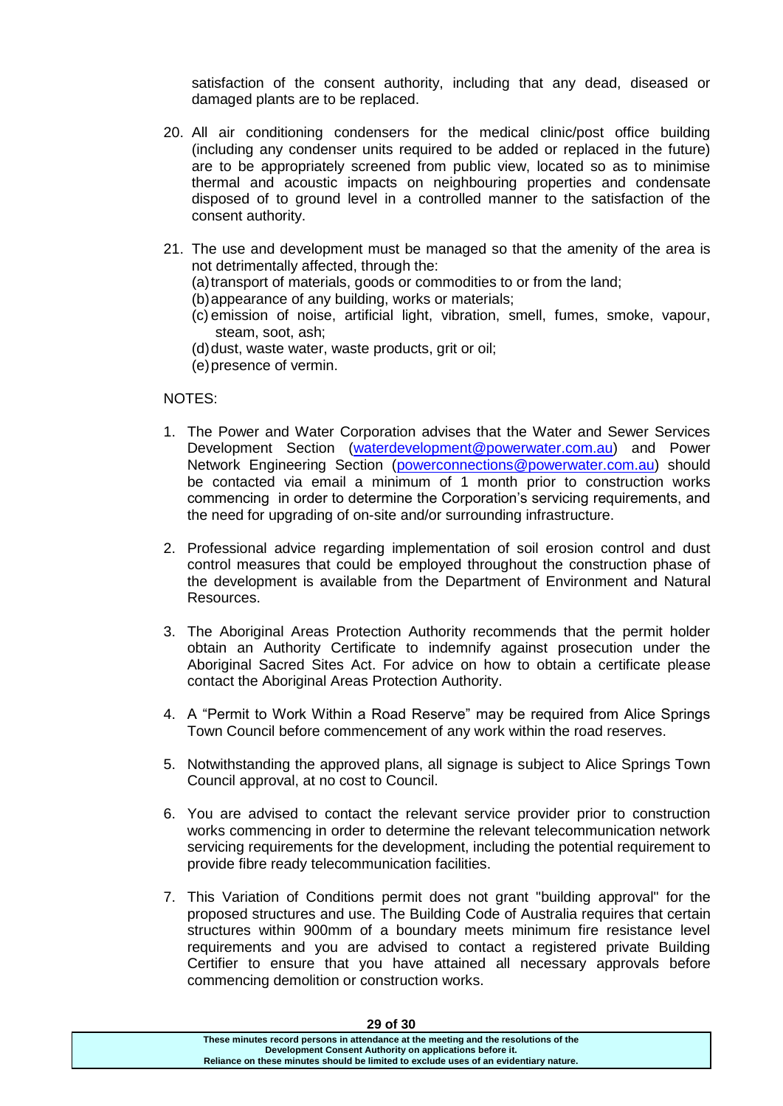satisfaction of the consent authority, including that any dead, diseased or damaged plants are to be replaced.

- 20. All air conditioning condensers for the medical clinic/post office building (including any condenser units required to be added or replaced in the future) are to be appropriately screened from public view, located so as to minimise thermal and acoustic impacts on neighbouring properties and condensate disposed of to ground level in a controlled manner to the satisfaction of the consent authority.
- 21. The use and development must be managed so that the amenity of the area is not detrimentally affected, through the:
	- (a) transport of materials, goods or commodities to or from the land;
	- (b)appearance of any building, works or materials;
	- (c) emission of noise, artificial light, vibration, smell, fumes, smoke, vapour, steam, soot, ash;
	- (d) dust, waste water, waste products, grit or oil;
	- (e)presence of vermin.

## NOTES:

- 1. The Power and Water Corporation advises that the Water and Sewer Services Development Section [\(waterdevelopment@powerwater.com.au\)](mailto:waterdevelopment@powerwater.com.au) and Power Network Engineering Section [\(powerconnections@powerwater.com.au\)](mailto:powerconnections@powerwater.com.au) should be contacted via email a minimum of 1 month prior to construction works commencing in order to determine the Corporation's servicing requirements, and the need for upgrading of on-site and/or surrounding infrastructure.
- 2. Professional advice regarding implementation of soil erosion control and dust control measures that could be employed throughout the construction phase of the development is available from the Department of Environment and Natural Resources.
- 3. The Aboriginal Areas Protection Authority recommends that the permit holder obtain an Authority Certificate to indemnify against prosecution under the Aboriginal Sacred Sites Act. For advice on how to obtain a certificate please contact the Aboriginal Areas Protection Authority.
- 4. A "Permit to Work Within a Road Reserve" may be required from Alice Springs Town Council before commencement of any work within the road reserves.
- 5. Notwithstanding the approved plans, all signage is subject to Alice Springs Town Council approval, at no cost to Council.
- 6. You are advised to contact the relevant service provider prior to construction works commencing in order to determine the relevant telecommunication network servicing requirements for the development, including the potential requirement to provide fibre ready telecommunication facilities.
- 7. This Variation of Conditions permit does not grant "building approval" for the proposed structures and use. The Building Code of Australia requires that certain structures within 900mm of a boundary meets minimum fire resistance level requirements and you are advised to contact a registered private Building Certifier to ensure that you have attained all necessary approvals before commencing demolition or construction works.

| <b>29 OT 30</b>                                                                       |  |
|---------------------------------------------------------------------------------------|--|
| These minutes record persons in attendance at the meeting and the resolutions of the  |  |
| Development Consent Authority on applications before it.                              |  |
| Reliance on these minutes should be limited to exclude uses of an evidentiary nature. |  |
|                                                                                       |  |